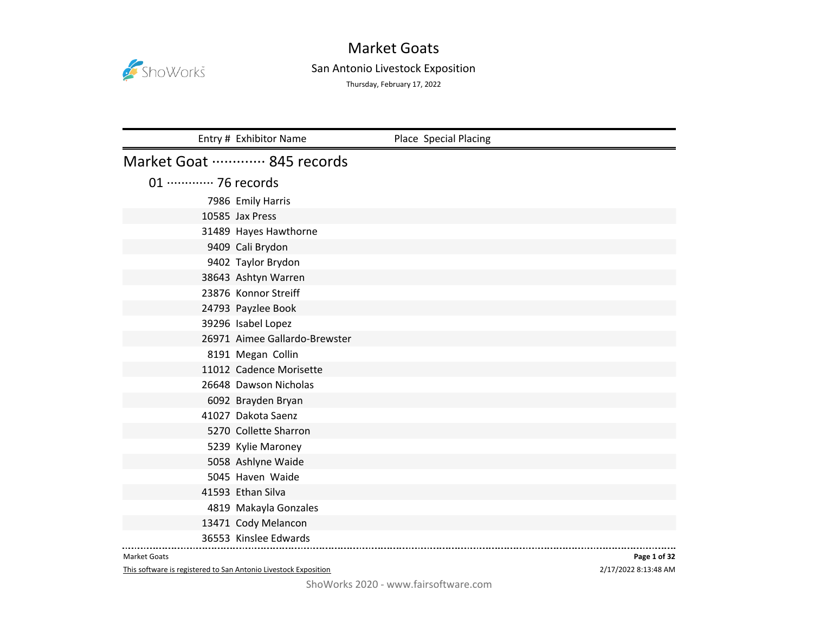

# San Antonio Livestock Exposition

Thursday, February 17, 2022

|                             | Entry # Exhibitor Name        | Place Special Placing |
|-----------------------------|-------------------------------|-----------------------|
|                             | Market Goat  845 records      |                       |
| 01 ············· 76 records |                               |                       |
|                             | 7986 Emily Harris             |                       |
|                             | 10585 Jax Press               |                       |
|                             | 31489 Hayes Hawthorne         |                       |
|                             | 9409 Cali Brydon              |                       |
|                             | 9402 Taylor Brydon            |                       |
|                             | 38643 Ashtyn Warren           |                       |
|                             | 23876 Konnor Streiff          |                       |
|                             | 24793 Payzlee Book            |                       |
|                             | 39296 Isabel Lopez            |                       |
|                             | 26971 Aimee Gallardo-Brewster |                       |
|                             | 8191 Megan Collin             |                       |
|                             | 11012 Cadence Morisette       |                       |
|                             | 26648 Dawson Nicholas         |                       |
|                             | 6092 Brayden Bryan            |                       |
|                             | 41027 Dakota Saenz            |                       |
|                             | 5270 Collette Sharron         |                       |
|                             | 5239 Kylie Maroney            |                       |
|                             | 5058 Ashlyne Waide            |                       |
|                             | 5045 Haven Waide              |                       |
|                             | 41593 Ethan Silva             |                       |
|                             | 4819 Makayla Gonzales         |                       |
|                             | 13471 Cody Melancon           |                       |
|                             | 36553 Kinslee Edwards         |                       |

#### Market Goats

This software is registered to San Antonio Livestock Exposition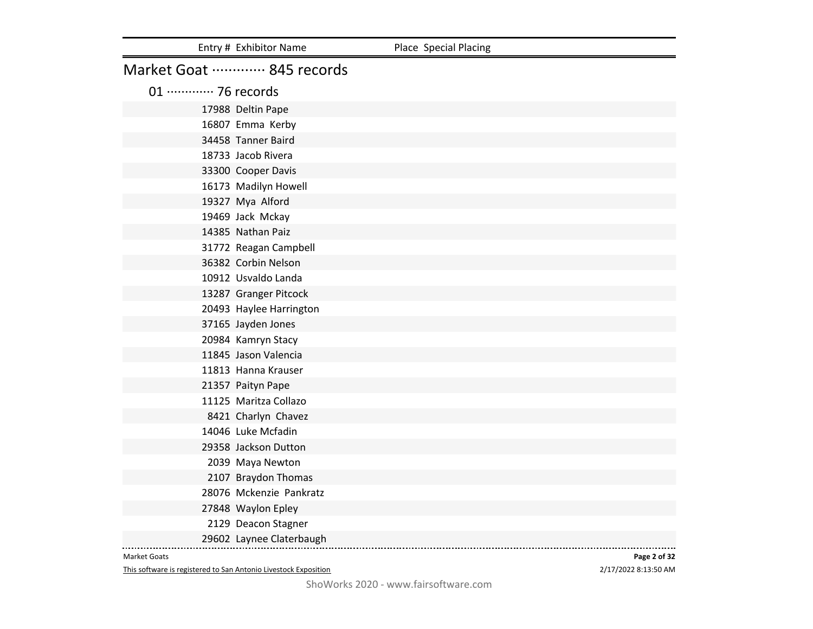|                             | Entry # Exhibitor Name   | Place Special Placing |
|-----------------------------|--------------------------|-----------------------|
|                             | Market Goat  845 records |                       |
| 01 ············· 76 records |                          |                       |
|                             | 17988 Deltin Pape        |                       |
|                             | 16807 Emma Kerby         |                       |
|                             | 34458 Tanner Baird       |                       |
|                             | 18733 Jacob Rivera       |                       |
|                             | 33300 Cooper Davis       |                       |
|                             | 16173 Madilyn Howell     |                       |
|                             | 19327 Mya Alford         |                       |
|                             | 19469 Jack Mckay         |                       |
|                             | 14385 Nathan Paiz        |                       |
|                             | 31772 Reagan Campbell    |                       |
|                             | 36382 Corbin Nelson      |                       |
|                             | 10912 Usvaldo Landa      |                       |
|                             | 13287 Granger Pitcock    |                       |
|                             | 20493 Haylee Harrington  |                       |
|                             | 37165 Jayden Jones       |                       |
|                             | 20984 Kamryn Stacy       |                       |
|                             | 11845 Jason Valencia     |                       |
|                             | 11813 Hanna Krauser      |                       |
|                             | 21357 Paityn Pape        |                       |
|                             | 11125 Maritza Collazo    |                       |
|                             | 8421 Charlyn Chavez      |                       |
|                             | 14046 Luke Mcfadin       |                       |
|                             | 29358 Jackson Dutton     |                       |
|                             | 2039 Maya Newton         |                       |
|                             | 2107 Braydon Thomas      |                       |
|                             | 28076 Mckenzie Pankratz  |                       |
|                             | 27848 Waylon Epley       |                       |
|                             | 2129 Deacon Stagner      |                       |
|                             | 29602 Laynee Claterbaugh |                       |

This software is registered to San Antonio Livestock Exposition

2/17/2022 8:13:50 AM **Page 2 of 32**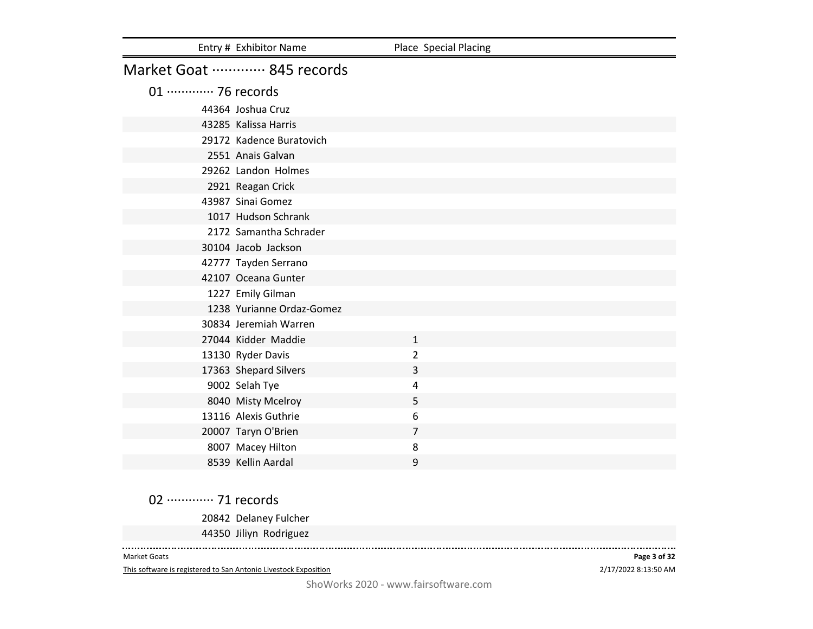|                             | Entry # Exhibitor Name    | Place Special Placing |
|-----------------------------|---------------------------|-----------------------|
|                             | Market Goat  845 records  |                       |
| 01 ············· 76 records |                           |                       |
|                             | 44364 Joshua Cruz         |                       |
|                             | 43285 Kalissa Harris      |                       |
|                             | 29172 Kadence Buratovich  |                       |
|                             | 2551 Anais Galvan         |                       |
|                             | 29262 Landon Holmes       |                       |
|                             | 2921 Reagan Crick         |                       |
|                             | 43987 Sinai Gomez         |                       |
|                             | 1017 Hudson Schrank       |                       |
|                             | 2172 Samantha Schrader    |                       |
|                             | 30104 Jacob Jackson       |                       |
|                             | 42777 Tayden Serrano      |                       |
|                             | 42107 Oceana Gunter       |                       |
|                             | 1227 Emily Gilman         |                       |
|                             | 1238 Yurianne Ordaz-Gomez |                       |
|                             | 30834 Jeremiah Warren     |                       |
|                             | 27044 Kidder Maddie       | $\mathbf{1}$          |
|                             | 13130 Ryder Davis         | 2                     |
|                             | 17363 Shepard Silvers     | 3                     |
|                             | 9002 Selah Tye            | 4                     |
|                             | 8040 Misty Mcelroy        | 5                     |
|                             | 13116 Alexis Guthrie      | 6                     |
|                             | 20007 Taryn O'Brien       | $\overline{7}$        |
|                             | 8007 Macey Hilton         | 8                     |
|                             | 8539 Kellin Aardal        | 9                     |

02 ············· 71 records

Delaney Fulcher

Jiliyn Rodriguez

Market Goats

 $\frac{1}{2}$ 

This software is registered to San Antonio Livestock Exposition

2/17/2022 8:13:50 AM **Page 3 of 32**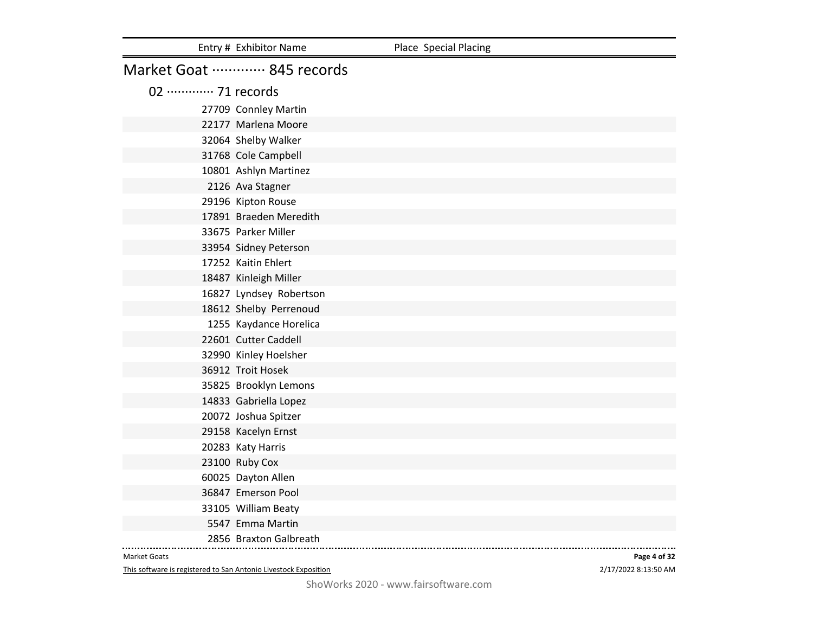|                             | Entry # Exhibitor Name   | Place Special Placing |
|-----------------------------|--------------------------|-----------------------|
|                             | Market Goat  845 records |                       |
| 02 ············· 71 records |                          |                       |
|                             | 27709 Connley Martin     |                       |
|                             | 22177 Marlena Moore      |                       |
|                             | 32064 Shelby Walker      |                       |
|                             | 31768 Cole Campbell      |                       |
|                             | 10801 Ashlyn Martinez    |                       |
|                             | 2126 Ava Stagner         |                       |
|                             | 29196 Kipton Rouse       |                       |
|                             | 17891 Braeden Meredith   |                       |
|                             | 33675 Parker Miller      |                       |
|                             | 33954 Sidney Peterson    |                       |
|                             | 17252 Kaitin Ehlert      |                       |
|                             | 18487 Kinleigh Miller    |                       |
|                             | 16827 Lyndsey Robertson  |                       |
|                             | 18612 Shelby Perrenoud   |                       |
|                             | 1255 Kaydance Horelica   |                       |
|                             | 22601 Cutter Caddell     |                       |
|                             | 32990 Kinley Hoelsher    |                       |
|                             | 36912 Troit Hosek        |                       |
|                             | 35825 Brooklyn Lemons    |                       |
|                             | 14833 Gabriella Lopez    |                       |
|                             | 20072 Joshua Spitzer     |                       |
|                             | 29158 Kacelyn Ernst      |                       |
|                             | 20283 Katy Harris        |                       |
|                             | 23100 Ruby Cox           |                       |
|                             | 60025 Dayton Allen       |                       |
|                             | 36847 Emerson Pool       |                       |
|                             | 33105 William Beaty      |                       |
|                             | 5547 Emma Martin         |                       |
|                             | 2856 Braxton Galbreath   |                       |

This software is registered to San Antonio Livestock Exposition

2/17/2022 8:13:50 AM **Page 4 of 32**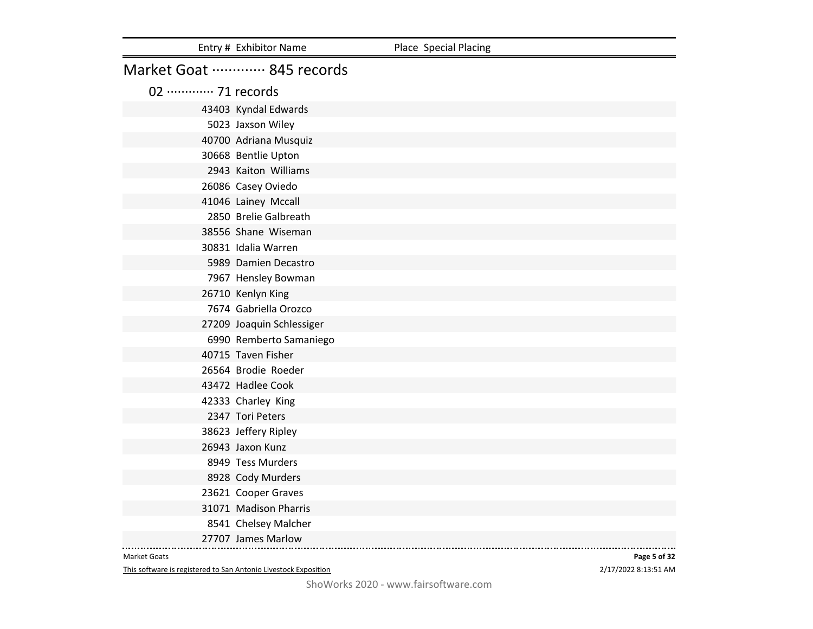|                             | Entry # Exhibitor Name    | Place Special Placing |
|-----------------------------|---------------------------|-----------------------|
|                             | Market Goat  845 records  |                       |
| 02 ············· 71 records |                           |                       |
|                             | 43403 Kyndal Edwards      |                       |
|                             | 5023 Jaxson Wiley         |                       |
|                             | 40700 Adriana Musquiz     |                       |
|                             | 30668 Bentlie Upton       |                       |
|                             | 2943 Kaiton Williams      |                       |
|                             | 26086 Casey Oviedo        |                       |
|                             | 41046 Lainey Mccall       |                       |
|                             | 2850 Brelie Galbreath     |                       |
|                             | 38556 Shane Wiseman       |                       |
|                             | 30831 Idalia Warren       |                       |
|                             | 5989 Damien Decastro      |                       |
|                             | 7967 Hensley Bowman       |                       |
|                             | 26710 Kenlyn King         |                       |
|                             | 7674 Gabriella Orozco     |                       |
|                             | 27209 Joaquin Schlessiger |                       |
|                             | 6990 Remberto Samaniego   |                       |
|                             | 40715 Taven Fisher        |                       |
|                             | 26564 Brodie Roeder       |                       |
|                             | 43472 Hadlee Cook         |                       |
|                             | 42333 Charley King        |                       |
|                             | 2347 Tori Peters          |                       |
|                             | 38623 Jeffery Ripley      |                       |
|                             | 26943 Jaxon Kunz          |                       |
|                             | 8949 Tess Murders         |                       |
|                             | 8928 Cody Murders         |                       |
|                             | 23621 Cooper Graves       |                       |
|                             | 31071 Madison Pharris     |                       |
|                             | 8541 Chelsey Malcher      |                       |
|                             | 27707 James Marlow        |                       |

This software is registered to San Antonio Livestock Exposition

2/17/2022 8:13:51 AM **Page 5 of 32**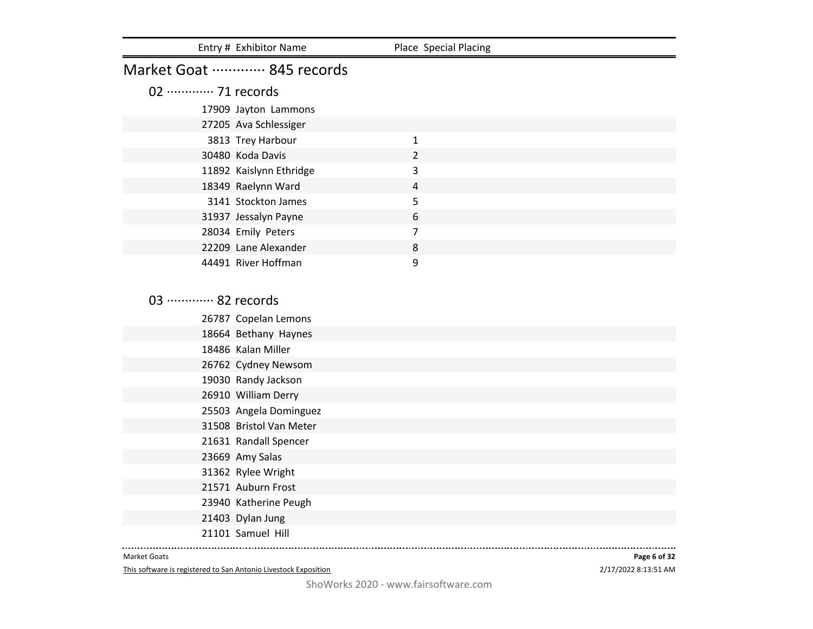|                             | Entry # Exhibitor Name                     | Place Special Placing |  |
|-----------------------------|--------------------------------------------|-----------------------|--|
| Market Goat  845 records    |                                            |                       |  |
| 02 ············· 71 records |                                            |                       |  |
|                             | 17909 Jayton Lammons                       |                       |  |
|                             | 27205 Ava Schlessiger                      |                       |  |
|                             | 3813 Trey Harbour                          | $\mathbf{1}$          |  |
|                             | 30480 Koda Davis                           | 2                     |  |
|                             | 11892 Kaislynn Ethridge                    | 3                     |  |
|                             | 18349 Raelynn Ward                         | 4                     |  |
|                             | 3141 Stockton James                        | 5                     |  |
|                             | 31937 Jessalyn Payne                       | 6                     |  |
|                             | 28034 Emily Peters                         | $\overline{7}$        |  |
|                             | 22209 Lane Alexander                       | 8                     |  |
|                             | 44491 River Hoffman                        | 9                     |  |
|                             |                                            |                       |  |
| 03 ············· 82 records |                                            |                       |  |
|                             |                                            |                       |  |
|                             | 26787 Copelan Lemons                       |                       |  |
|                             | 18664 Bethany Haynes<br>18486 Kalan Miller |                       |  |
|                             |                                            |                       |  |
|                             | 26762 Cydney Newsom                        |                       |  |
|                             | 19030 Randy Jackson<br>26910 William Derry |                       |  |
|                             | 25503 Angela Dominguez                     |                       |  |
|                             | 31508 Bristol Van Meter                    |                       |  |
|                             | 21631 Randall Spencer                      |                       |  |
|                             | 23669 Amy Salas                            |                       |  |
|                             | 31362 Rylee Wright                         |                       |  |
|                             | 21571 Auburn Frost                         |                       |  |
|                             | 23940 Katherine Peugh                      |                       |  |
|                             | 21403 Dylan Jung                           |                       |  |

Samuel Hill

Market Goats

This software is registered to San Antonio Livestock Exposition

2/17/2022 8:13:51 AM **Page 6 of 32**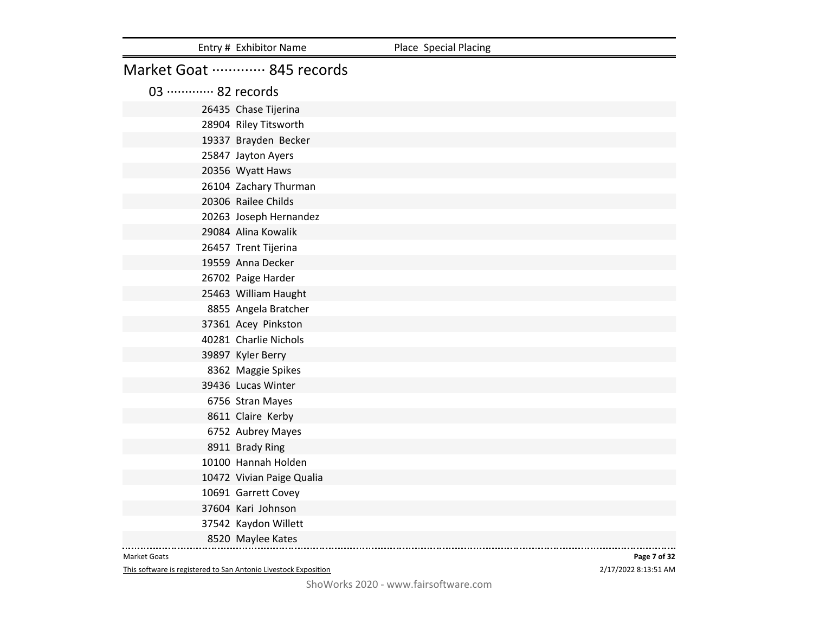|                             | Entry # Exhibitor Name    | Place Special Placing |
|-----------------------------|---------------------------|-----------------------|
|                             | Market Goat  845 records  |                       |
| 03 ············· 82 records |                           |                       |
|                             | 26435 Chase Tijerina      |                       |
|                             | 28904 Riley Titsworth     |                       |
|                             | 19337 Brayden Becker      |                       |
|                             | 25847 Jayton Ayers        |                       |
|                             | 20356 Wyatt Haws          |                       |
|                             | 26104 Zachary Thurman     |                       |
|                             | 20306 Railee Childs       |                       |
|                             | 20263 Joseph Hernandez    |                       |
|                             | 29084 Alina Kowalik       |                       |
|                             | 26457 Trent Tijerina      |                       |
|                             | 19559 Anna Decker         |                       |
|                             | 26702 Paige Harder        |                       |
|                             | 25463 William Haught      |                       |
|                             | 8855 Angela Bratcher      |                       |
|                             | 37361 Acey Pinkston       |                       |
|                             | 40281 Charlie Nichols     |                       |
|                             | 39897 Kyler Berry         |                       |
|                             | 8362 Maggie Spikes        |                       |
|                             | 39436 Lucas Winter        |                       |
|                             | 6756 Stran Mayes          |                       |
|                             | 8611 Claire Kerby         |                       |
|                             | 6752 Aubrey Mayes         |                       |
|                             | 8911 Brady Ring           |                       |
|                             | 10100 Hannah Holden       |                       |
|                             | 10472 Vivian Paige Qualia |                       |
|                             | 10691 Garrett Covey       |                       |
|                             | 37604 Kari Johnson        |                       |
|                             | 37542 Kaydon Willett      |                       |
|                             | 8520 Maylee Kates         |                       |

This software is registered to San Antonio Livestock Exposition

2/17/2022 8:13:51 AM **Page 7 of 32**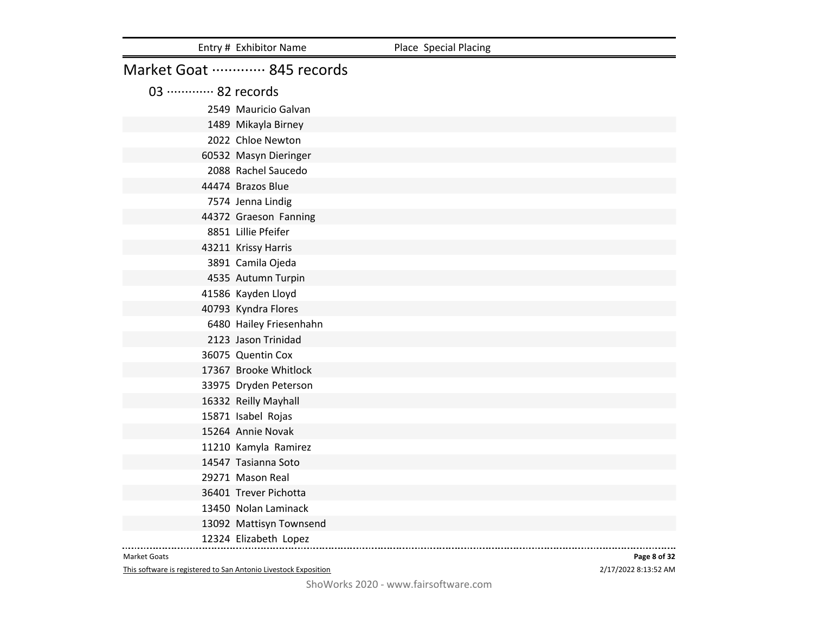|                             | Entry # Exhibitor Name   | Place Special Placing |
|-----------------------------|--------------------------|-----------------------|
|                             | Market Goat  845 records |                       |
| 03 ············· 82 records |                          |                       |
|                             | 2549 Mauricio Galvan     |                       |
|                             | 1489 Mikayla Birney      |                       |
|                             | 2022 Chloe Newton        |                       |
|                             | 60532 Masyn Dieringer    |                       |
|                             | 2088 Rachel Saucedo      |                       |
|                             | 44474 Brazos Blue        |                       |
|                             | 7574 Jenna Lindig        |                       |
|                             | 44372 Graeson Fanning    |                       |
|                             | 8851 Lillie Pfeifer      |                       |
|                             | 43211 Krissy Harris      |                       |
|                             | 3891 Camila Ojeda        |                       |
|                             | 4535 Autumn Turpin       |                       |
|                             | 41586 Kayden Lloyd       |                       |
|                             | 40793 Kyndra Flores      |                       |
|                             | 6480 Hailey Friesenhahn  |                       |
|                             | 2123 Jason Trinidad      |                       |
|                             | 36075 Quentin Cox        |                       |
|                             | 17367 Brooke Whitlock    |                       |
|                             | 33975 Dryden Peterson    |                       |
|                             | 16332 Reilly Mayhall     |                       |
|                             | 15871 Isabel Rojas       |                       |
|                             | 15264 Annie Novak        |                       |
|                             | 11210 Kamyla Ramirez     |                       |
|                             | 14547 Tasianna Soto      |                       |
|                             | 29271 Mason Real         |                       |
|                             | 36401 Trever Pichotta    |                       |
|                             | 13450 Nolan Laminack     |                       |
|                             | 13092 Mattisyn Townsend  |                       |
|                             | 12324 Elizabeth Lopez    |                       |

This software is registered to San Antonio Livestock Exposition

2/17/2022 8:13:52 AM **Page 8 of 32**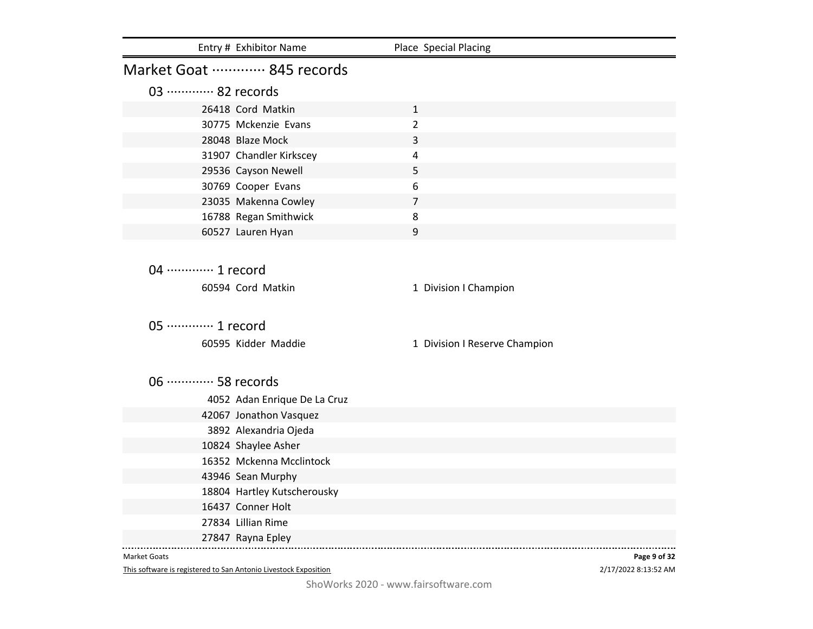| Market Goat  845 records<br>03 ············· 82 records<br>26418 Cord Matkin<br>$\mathbf{1}$<br>$\overline{2}$<br>30775 Mckenzie Evans<br>28048 Blaze Mock<br>3<br>31907 Chandler Kirkscey<br>$\overline{4}$<br>29536 Cayson Newell<br>5 |                               |
|------------------------------------------------------------------------------------------------------------------------------------------------------------------------------------------------------------------------------------------|-------------------------------|
|                                                                                                                                                                                                                                          |                               |
|                                                                                                                                                                                                                                          |                               |
|                                                                                                                                                                                                                                          |                               |
|                                                                                                                                                                                                                                          |                               |
|                                                                                                                                                                                                                                          |                               |
|                                                                                                                                                                                                                                          |                               |
|                                                                                                                                                                                                                                          |                               |
| 6<br>30769 Cooper Evans                                                                                                                                                                                                                  |                               |
| 23035 Makenna Cowley<br>$\overline{7}$                                                                                                                                                                                                   |                               |
| 16788 Regan Smithwick<br>8                                                                                                                                                                                                               |                               |
| 9<br>60527 Lauren Hyan                                                                                                                                                                                                                   |                               |
|                                                                                                                                                                                                                                          |                               |
| 04 ………… 1 record                                                                                                                                                                                                                         |                               |
|                                                                                                                                                                                                                                          |                               |
| 60594 Cord Matkin                                                                                                                                                                                                                        | 1 Division I Champion         |
|                                                                                                                                                                                                                                          |                               |
| 05 ·············· 1 record                                                                                                                                                                                                               |                               |
| 60595 Kidder Maddie                                                                                                                                                                                                                      | 1 Division I Reserve Champion |
|                                                                                                                                                                                                                                          |                               |
| 06 ············· 58 records                                                                                                                                                                                                              |                               |
|                                                                                                                                                                                                                                          |                               |
| 4052 Adan Enrique De La Cruz                                                                                                                                                                                                             |                               |
| 42067 Jonathon Vasquez                                                                                                                                                                                                                   |                               |
| 3892 Alexandria Ojeda                                                                                                                                                                                                                    |                               |
| 10824 Shaylee Asher<br>16352 Mckenna Mcclintock                                                                                                                                                                                          |                               |
|                                                                                                                                                                                                                                          |                               |
| 43946 Sean Murphy<br>18804 Hartley Kutscherousky                                                                                                                                                                                         |                               |
| 16437 Conner Holt                                                                                                                                                                                                                        |                               |
| 27834 Lillian Rime                                                                                                                                                                                                                       |                               |
| 27847 Rayna Epley                                                                                                                                                                                                                        |                               |
| <b>Market Goats</b>                                                                                                                                                                                                                      | Page 9 of 32                  |

This software is registered to San Antonio Livestock Exposition

2/17/2022 8:13:52 AM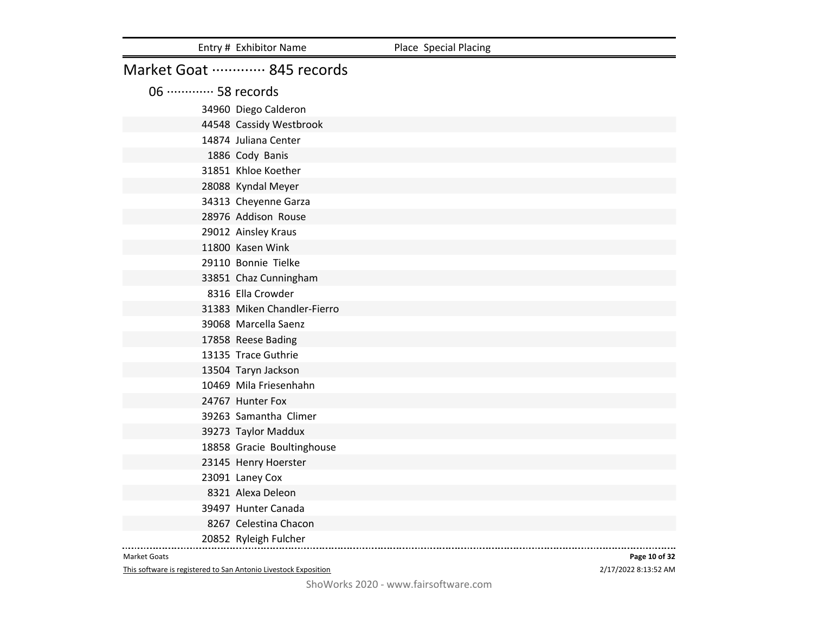|                             | Entry # Exhibitor Name      | Place Special Placing |
|-----------------------------|-----------------------------|-----------------------|
|                             | Market Goat  845 records    |                       |
| 06 ············· 58 records |                             |                       |
|                             | 34960 Diego Calderon        |                       |
|                             | 44548 Cassidy Westbrook     |                       |
|                             | 14874 Juliana Center        |                       |
|                             | 1886 Cody Banis             |                       |
|                             | 31851 Khloe Koether         |                       |
|                             | 28088 Kyndal Meyer          |                       |
|                             | 34313 Cheyenne Garza        |                       |
|                             | 28976 Addison Rouse         |                       |
|                             | 29012 Ainsley Kraus         |                       |
|                             | 11800 Kasen Wink            |                       |
|                             | 29110 Bonnie Tielke         |                       |
|                             | 33851 Chaz Cunningham       |                       |
|                             | 8316 Ella Crowder           |                       |
|                             | 31383 Miken Chandler-Fierro |                       |
|                             | 39068 Marcella Saenz        |                       |
|                             | 17858 Reese Bading          |                       |
|                             | 13135 Trace Guthrie         |                       |
|                             | 13504 Taryn Jackson         |                       |
|                             | 10469 Mila Friesenhahn      |                       |
|                             | 24767 Hunter Fox            |                       |
|                             | 39263 Samantha Climer       |                       |
|                             | 39273 Taylor Maddux         |                       |
|                             | 18858 Gracie Boultinghouse  |                       |
|                             | 23145 Henry Hoerster        |                       |
|                             | 23091 Laney Cox             |                       |
|                             | 8321 Alexa Deleon           |                       |
|                             | 39497 Hunter Canada         |                       |
|                             | 8267 Celestina Chacon       |                       |
|                             | 20852 Ryleigh Fulcher       |                       |

This software is registered to San Antonio Livestock Exposition

2/17/2022 8:13:52 AM **Page 10 of 32**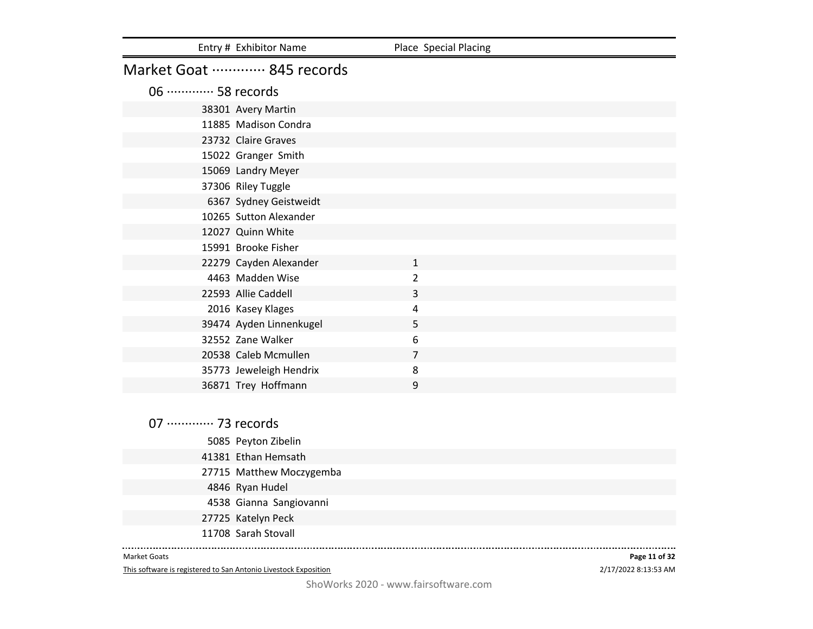| Entry # Exhibitor Name      | Place Special Placing                        |
|-----------------------------|----------------------------------------------|
| Market Goat  845 records    |                                              |
| 06 ············· 58 records |                                              |
| 38301 Avery Martin          |                                              |
| 11885 Madison Condra        |                                              |
| 23732 Claire Graves         |                                              |
| 15022 Granger Smith         |                                              |
|                             |                                              |
| 37306 Riley Tuggle          |                                              |
| 6367 Sydney Geistweidt      |                                              |
|                             |                                              |
| 12027 Quinn White           |                                              |
| 15991 Brooke Fisher         |                                              |
| 22279 Cayden Alexander      | $\mathbf{1}$                                 |
| 4463 Madden Wise            | $\overline{2}$                               |
| 22593 Allie Caddell         | 3                                            |
| 2016 Kasey Klages           | 4                                            |
| 39474 Ayden Linnenkugel     | 5                                            |
| 32552 Zane Walker           | 6                                            |
| 20538 Caleb Mcmullen        | 7                                            |
| 35773 Jeweleigh Hendrix     | 8                                            |
| 36871 Trey Hoffmann         | 9                                            |
|                             | 15069 Landry Meyer<br>10265 Sutton Alexander |

07 ·············· 73 records Peyton Zibelin Ethan Hemsath Matthew Moczygemba Ryan Hudel Gianna Sangiovanni Katelyn Peck Sarah Stovall

#### Market Goats

This software is registered to San Antonio Livestock Exposition

2/17/2022 8:13:53 AM **Page 11 of 32**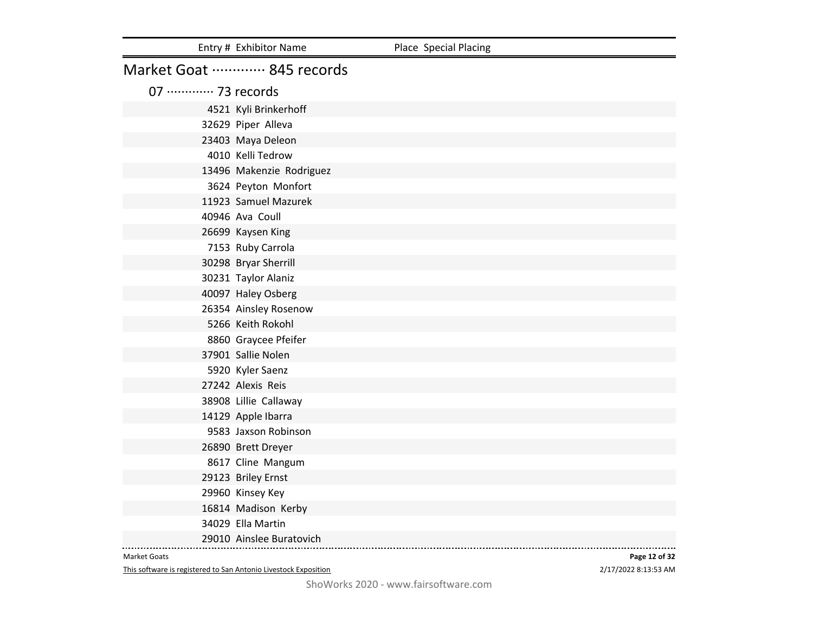|                             | Entry # Exhibitor Name   | Place Special Placing |
|-----------------------------|--------------------------|-----------------------|
|                             | Market Goat  845 records |                       |
| 07 ············· 73 records |                          |                       |
|                             | 4521 Kyli Brinkerhoff    |                       |
|                             | 32629 Piper Alleva       |                       |
|                             | 23403 Maya Deleon        |                       |
|                             | 4010 Kelli Tedrow        |                       |
|                             | 13496 Makenzie Rodriguez |                       |
|                             | 3624 Peyton Monfort      |                       |
|                             | 11923 Samuel Mazurek     |                       |
|                             | 40946 Ava Coull          |                       |
|                             | 26699 Kaysen King        |                       |
|                             | 7153 Ruby Carrola        |                       |
|                             | 30298 Bryar Sherrill     |                       |
|                             | 30231 Taylor Alaniz      |                       |
|                             | 40097 Haley Osberg       |                       |
|                             | 26354 Ainsley Rosenow    |                       |
|                             | 5266 Keith Rokohl        |                       |
|                             | 8860 Graycee Pfeifer     |                       |
|                             | 37901 Sallie Nolen       |                       |
|                             | 5920 Kyler Saenz         |                       |
|                             | 27242 Alexis Reis        |                       |
|                             | 38908 Lillie Callaway    |                       |
|                             | 14129 Apple Ibarra       |                       |
|                             | 9583 Jaxson Robinson     |                       |
|                             | 26890 Brett Dreyer       |                       |
|                             | 8617 Cline Mangum        |                       |
|                             | 29123 Briley Ernst       |                       |
|                             | 29960 Kinsey Key         |                       |
|                             | 16814 Madison Kerby      |                       |
|                             | 34029 Ella Martin        |                       |
|                             | 29010 Ainslee Buratovich |                       |

This software is registered to San Antonio Livestock Exposition

2/17/2022 8:13:53 AM **Page 12 of 32**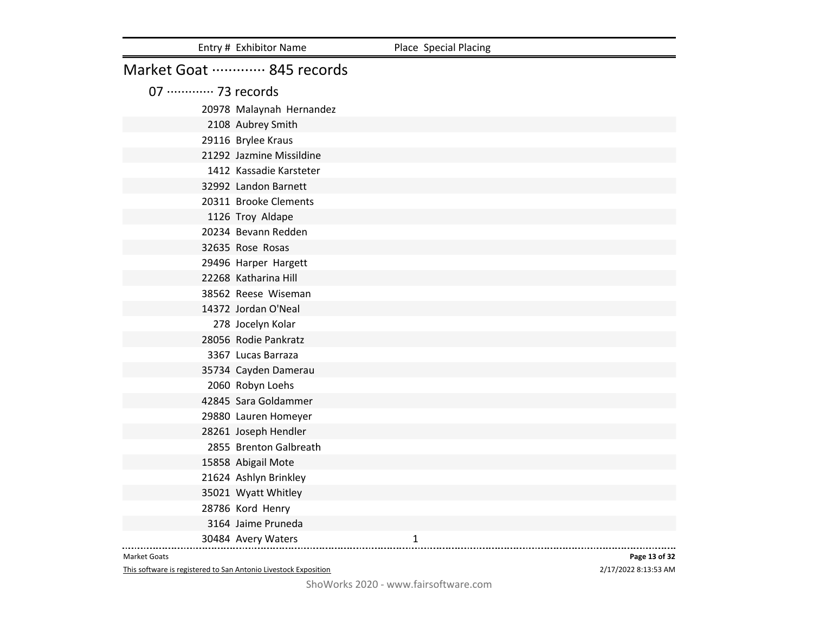|                             | Entry # Exhibitor Name   | Place Special Placing |
|-----------------------------|--------------------------|-----------------------|
|                             | Market Goat  845 records |                       |
| 07 ············· 73 records |                          |                       |
|                             | 20978 Malaynah Hernandez |                       |
|                             | 2108 Aubrey Smith        |                       |
|                             | 29116 Brylee Kraus       |                       |
|                             | 21292 Jazmine Missildine |                       |
|                             | 1412 Kassadie Karsteter  |                       |
|                             | 32992 Landon Barnett     |                       |
|                             | 20311 Brooke Clements    |                       |
|                             | 1126 Troy Aldape         |                       |
|                             | 20234 Bevann Redden      |                       |
|                             | 32635 Rose Rosas         |                       |
|                             | 29496 Harper Hargett     |                       |
|                             | 22268 Katharina Hill     |                       |
|                             | 38562 Reese Wiseman      |                       |
|                             | 14372 Jordan O'Neal      |                       |
|                             | 278 Jocelyn Kolar        |                       |
|                             | 28056 Rodie Pankratz     |                       |
|                             | 3367 Lucas Barraza       |                       |
|                             | 35734 Cayden Damerau     |                       |
|                             | 2060 Robyn Loehs         |                       |
|                             | 42845 Sara Goldammer     |                       |
|                             | 29880 Lauren Homeyer     |                       |
|                             | 28261 Joseph Hendler     |                       |
|                             | 2855 Brenton Galbreath   |                       |
|                             | 15858 Abigail Mote       |                       |
|                             | 21624 Ashlyn Brinkley    |                       |
|                             | 35021 Wyatt Whitley      |                       |
|                             | 28786 Kord Henry         |                       |
|                             | 3164 Jaime Pruneda       |                       |
|                             | 30484 Avery Waters       | 1                     |

This software is registered to San Antonio Livestock Exposition

2/17/2022 8:13:53 AM **Page 13 of 32**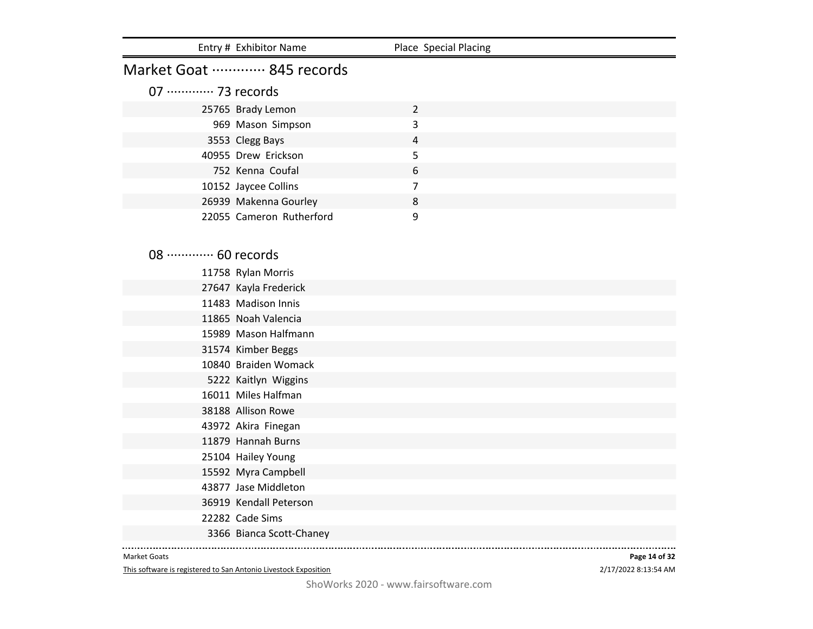|                             | Entry # Exhibitor Name                    | Place Special Placing |  |
|-----------------------------|-------------------------------------------|-----------------------|--|
|                             | Market Goat  845 records                  |                       |  |
| 07 ············· 73 records |                                           |                       |  |
|                             | 25765 Brady Lemon                         | $\overline{2}$        |  |
|                             | 969 Mason Simpson                         | 3                     |  |
|                             | 3553 Clegg Bays                           | 4                     |  |
|                             | 40955 Drew Erickson                       | 5                     |  |
|                             | 752 Kenna Coufal                          | 6                     |  |
|                             | 10152 Jaycee Collins                      | $\overline{7}$        |  |
|                             | 26939 Makenna Gourley                     | 8                     |  |
|                             | 22055 Cameron Rutherford                  | 9                     |  |
|                             |                                           |                       |  |
|                             |                                           |                       |  |
| 08 ············· 60 records |                                           |                       |  |
|                             | 11758 Rylan Morris                        |                       |  |
|                             | 27647 Kayla Frederick                     |                       |  |
|                             | 11483 Madison Innis                       |                       |  |
|                             | 11865 Noah Valencia                       |                       |  |
|                             | 15989 Mason Halfmann                      |                       |  |
|                             | 31574 Kimber Beggs                        |                       |  |
|                             | 10840 Braiden Womack                      |                       |  |
|                             | 5222 Kaitlyn Wiggins                      |                       |  |
|                             | 16011 Miles Halfman                       |                       |  |
|                             | 38188 Allison Rowe                        |                       |  |
|                             | 43972 Akira Finegan                       |                       |  |
|                             | 11879 Hannah Burns                        |                       |  |
|                             | 25104 Hailey Young                        |                       |  |
|                             | 15592 Myra Campbell                       |                       |  |
|                             | 43877 Jase Middleton                      |                       |  |
|                             | 36919 Kendall Peterson<br>22282 Cade Sims |                       |  |
|                             |                                           |                       |  |
|                             | 3366 Bianca Scott-Chaney                  |                       |  |

This software is registered to San Antonio Livestock Exposition

2/17/2022 8:13:54 AM **Page 14 of 32**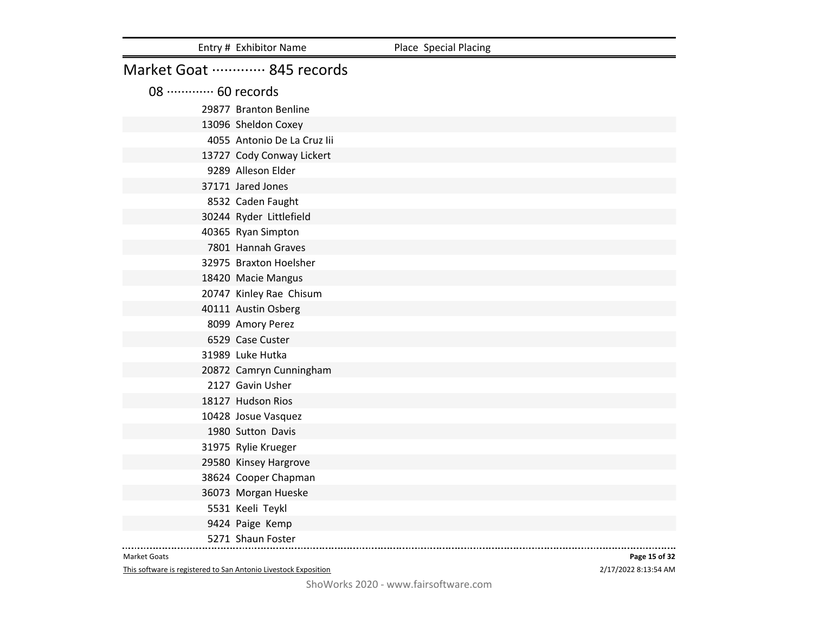|                            | Entry # Exhibitor Name      | Place Special Placing |
|----------------------------|-----------------------------|-----------------------|
|                            | Market Goat  845 records    |                       |
| 08 ············ 60 records |                             |                       |
|                            | 29877 Branton Benline       |                       |
|                            | 13096 Sheldon Coxey         |                       |
|                            | 4055 Antonio De La Cruz lii |                       |
|                            | 13727 Cody Conway Lickert   |                       |
|                            | 9289 Alleson Elder          |                       |
|                            | 37171 Jared Jones           |                       |
|                            | 8532 Caden Faught           |                       |
|                            | 30244 Ryder Littlefield     |                       |
|                            | 40365 Ryan Simpton          |                       |
|                            | 7801 Hannah Graves          |                       |
|                            | 32975 Braxton Hoelsher      |                       |
|                            | 18420 Macie Mangus          |                       |
|                            | 20747 Kinley Rae Chisum     |                       |
|                            | 40111 Austin Osberg         |                       |
|                            | 8099 Amory Perez            |                       |
|                            | 6529 Case Custer            |                       |
|                            | 31989 Luke Hutka            |                       |
|                            | 20872 Camryn Cunningham     |                       |
|                            | 2127 Gavin Usher            |                       |
|                            | 18127 Hudson Rios           |                       |
|                            | 10428 Josue Vasquez         |                       |
|                            | 1980 Sutton Davis           |                       |
|                            | 31975 Rylie Krueger         |                       |
|                            | 29580 Kinsey Hargrove       |                       |
|                            | 38624 Cooper Chapman        |                       |
|                            | 36073 Morgan Hueske         |                       |
|                            | 5531 Keeli Teykl            |                       |
|                            | 9424 Paige Kemp             |                       |
|                            | 5271 Shaun Foster           |                       |

This software is registered to San Antonio Livestock Exposition

2/17/2022 8:13:54 AM **Page 15 of 32**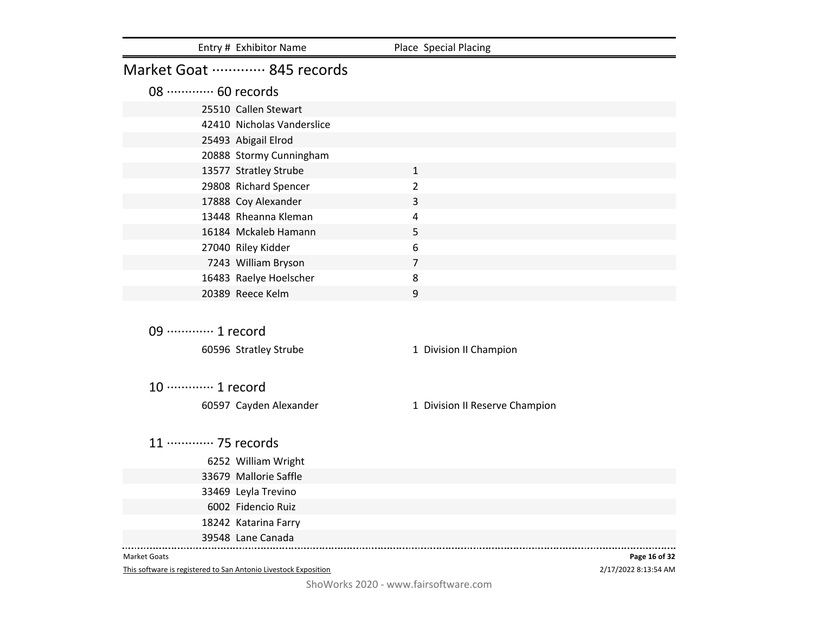|                             | Entry # Exhibitor Name     | Place Special Placing          |               |
|-----------------------------|----------------------------|--------------------------------|---------------|
|                             | Market Goat  845 records   |                                |               |
| 08 ············· 60 records |                            |                                |               |
|                             | 25510 Callen Stewart       |                                |               |
|                             | 42410 Nicholas Vanderslice |                                |               |
|                             | 25493 Abigail Elrod        |                                |               |
|                             | 20888 Stormy Cunningham    |                                |               |
|                             | 13577 Stratley Strube      | $\mathbf{1}$                   |               |
|                             | 29808 Richard Spencer      | $\overline{2}$                 |               |
|                             | 17888 Coy Alexander        | 3                              |               |
|                             | 13448 Rheanna Kleman       | 4                              |               |
|                             | 16184 Mckaleb Hamann       | 5                              |               |
|                             | 27040 Riley Kidder         | 6                              |               |
|                             | 7243 William Bryson        | $\overline{7}$                 |               |
|                             | 16483 Raelye Hoelscher     | 8                              |               |
|                             | 20389 Reece Kelm           | 9                              |               |
|                             |                            |                                |               |
| 09 ············· 1 record   |                            |                                |               |
|                             | 60596 Stratley Strube      | 1 Division II Champion         |               |
|                             |                            |                                |               |
| 10 ············· 1 record   |                            |                                |               |
|                             |                            |                                |               |
|                             | 60597 Cayden Alexander     | 1 Division II Reserve Champion |               |
| 11 ············· 75 records |                            |                                |               |
|                             |                            |                                |               |
|                             | 6252 William Wright        |                                |               |
|                             | 33679 Mallorie Saffle      |                                |               |
|                             | 33469 Leyla Trevino        |                                |               |
|                             | 6002 Fidencio Ruiz         |                                |               |
|                             | 18242 Katarina Farry       |                                |               |
|                             | 39548 Lane Canada          |                                |               |
| <b>Market Goats</b>         |                            |                                | Page 16 of 32 |

This software is registered to San Antonio Livestock Exposition

2/17/2022 8:13:54 AM **Page 16 of 32**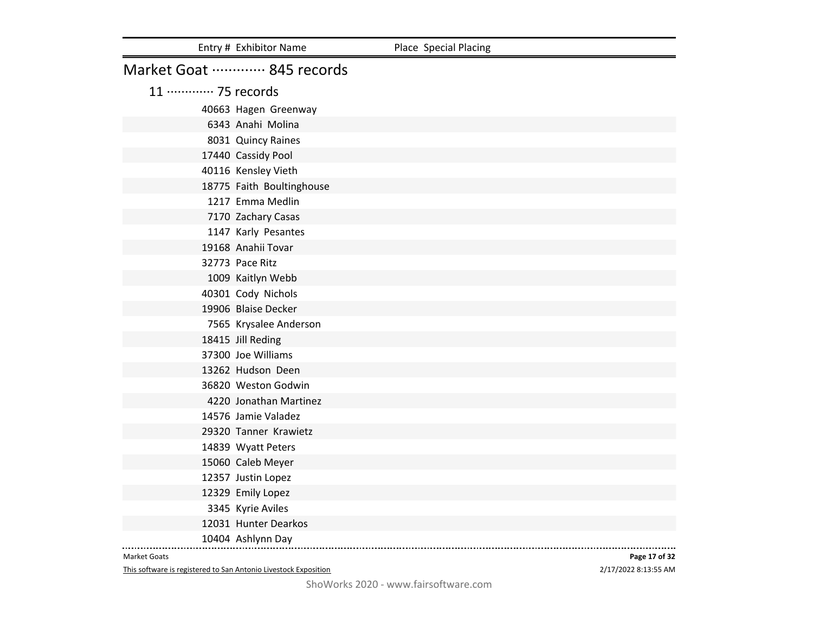|                    | Entry # Exhibitor Name    | Place Special Placing |
|--------------------|---------------------------|-----------------------|
|                    | Market Goat  845 records  |                       |
| 11 ………… 75 records |                           |                       |
|                    | 40663 Hagen Greenway      |                       |
|                    | 6343 Anahi Molina         |                       |
|                    | 8031 Quincy Raines        |                       |
|                    | 17440 Cassidy Pool        |                       |
|                    | 40116 Kensley Vieth       |                       |
|                    | 18775 Faith Boultinghouse |                       |
|                    | 1217 Emma Medlin          |                       |
|                    | 7170 Zachary Casas        |                       |
|                    | 1147 Karly Pesantes       |                       |
|                    | 19168 Anahii Tovar        |                       |
|                    | 32773 Pace Ritz           |                       |
|                    | 1009 Kaitlyn Webb         |                       |
|                    | 40301 Cody Nichols        |                       |
|                    | 19906 Blaise Decker       |                       |
|                    | 7565 Krysalee Anderson    |                       |
|                    | 18415 Jill Reding         |                       |
|                    | 37300 Joe Williams        |                       |
|                    | 13262 Hudson Deen         |                       |
|                    | 36820 Weston Godwin       |                       |
|                    | 4220 Jonathan Martinez    |                       |
|                    | 14576 Jamie Valadez       |                       |
|                    | 29320 Tanner Krawietz     |                       |
|                    | 14839 Wyatt Peters        |                       |
|                    | 15060 Caleb Meyer         |                       |
|                    | 12357 Justin Lopez        |                       |
|                    | 12329 Emily Lopez         |                       |
|                    | 3345 Kyrie Aviles         |                       |
|                    | 12031 Hunter Dearkos      |                       |
|                    | 10404 Ashlynn Day         |                       |

This software is registered to San Antonio Livestock Exposition

2/17/2022 8:13:55 AM **Page 17 of 32**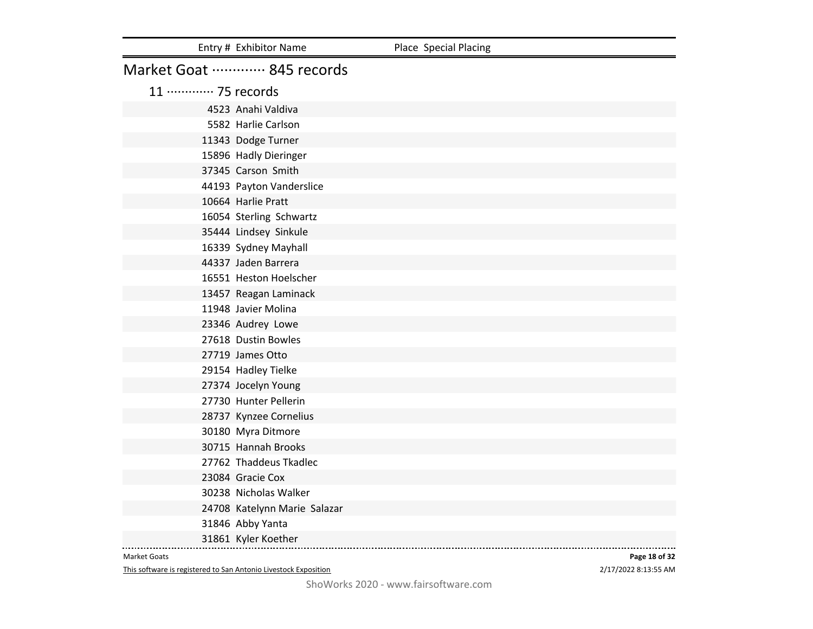|                    | Entry # Exhibitor Name       | Place Special Placing |
|--------------------|------------------------------|-----------------------|
|                    | Market Goat  845 records     |                       |
| 11 ………… 75 records |                              |                       |
|                    | 4523 Anahi Valdiva           |                       |
|                    | 5582 Harlie Carlson          |                       |
|                    | 11343 Dodge Turner           |                       |
|                    | 15896 Hadly Dieringer        |                       |
|                    | 37345 Carson Smith           |                       |
|                    | 44193 Payton Vanderslice     |                       |
|                    | 10664 Harlie Pratt           |                       |
|                    | 16054 Sterling Schwartz      |                       |
|                    | 35444 Lindsey Sinkule        |                       |
|                    | 16339 Sydney Mayhall         |                       |
|                    | 44337 Jaden Barrera          |                       |
|                    | 16551 Heston Hoelscher       |                       |
|                    | 13457 Reagan Laminack        |                       |
|                    | 11948 Javier Molina          |                       |
|                    | 23346 Audrey Lowe            |                       |
|                    | 27618 Dustin Bowles          |                       |
|                    | 27719 James Otto             |                       |
|                    | 29154 Hadley Tielke          |                       |
|                    | 27374 Jocelyn Young          |                       |
|                    | 27730 Hunter Pellerin        |                       |
|                    | 28737 Kynzee Cornelius       |                       |
|                    | 30180 Myra Ditmore           |                       |
|                    | 30715 Hannah Brooks          |                       |
|                    | 27762 Thaddeus Tkadlec       |                       |
|                    | 23084 Gracie Cox             |                       |
|                    | 30238 Nicholas Walker        |                       |
|                    | 24708 Katelynn Marie Salazar |                       |
|                    | 31846 Abby Yanta             |                       |
|                    | 31861 Kyler Koether          |                       |

This software is registered to San Antonio Livestock Exposition

2/17/2022 8:13:55 AM **Page 18 of 32**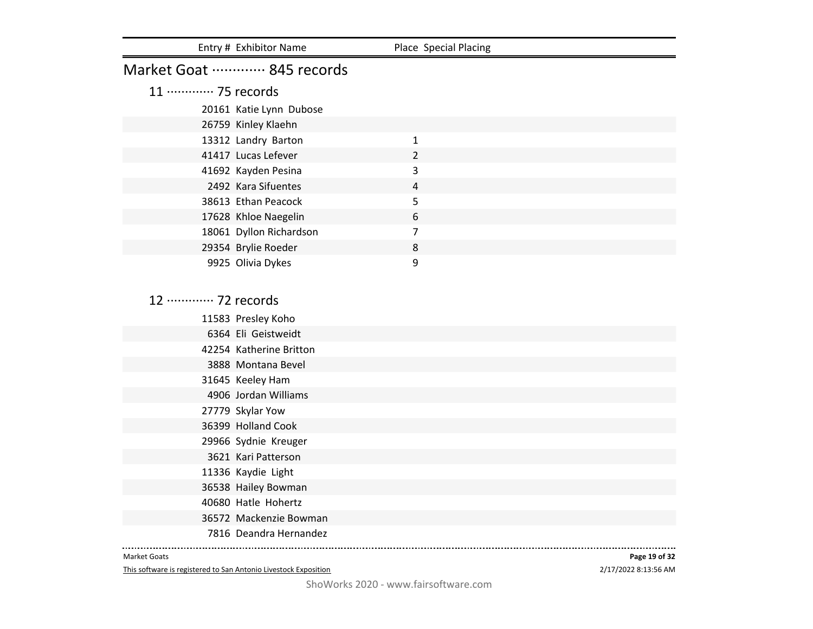| Entry # Exhibitor Name      | Place Special Placing |
|-----------------------------|-----------------------|
| Market Goat  845 records    |                       |
| 11 ············· 75 records |                       |
| 20161 Katie Lynn Dubose     |                       |
| 26759 Kinley Klaehn         |                       |
| 13312 Landry Barton         | 1                     |
| 41417 Lucas Lefever         | $\overline{2}$        |
| 41692 Kayden Pesina         | 3                     |
| 2492 Kara Sifuentes         | 4                     |
| 38613 Ethan Peacock         | 5                     |
| 17628 Khloe Naegelin        | 6                     |
| 18061 Dyllon Richardson     | 7                     |
| 29354 Brylie Roeder         | 8                     |
| 9925 Olivia Dykes           | 9                     |

12 ·············· 72 records

|  | 11583 Presley Koho      |
|--|-------------------------|
|  | 6364 Eli Geistweidt     |
|  | 42254 Katherine Britton |
|  | 3888 Montana Bevel      |
|  | 31645 Keeley Ham        |
|  | 4906 Jordan Williams    |
|  | 27779 Skylar Yow        |
|  | 36399 Holland Cook      |
|  | 29966 Sydnie Kreuger    |
|  | 3621 Kari Patterson     |
|  | 11336 Kaydie Light      |
|  | 36538 Hailey Bowman     |
|  | 40680 Hatle Hohertz     |
|  | 36572 Mackenzie Bowman  |
|  | 7816 Deandra Hernandez  |
|  |                         |

#### Market Goats

This software is registered to San Antonio Livestock Exposition

2/17/2022 8:13:56 AM **Page 19 of 32**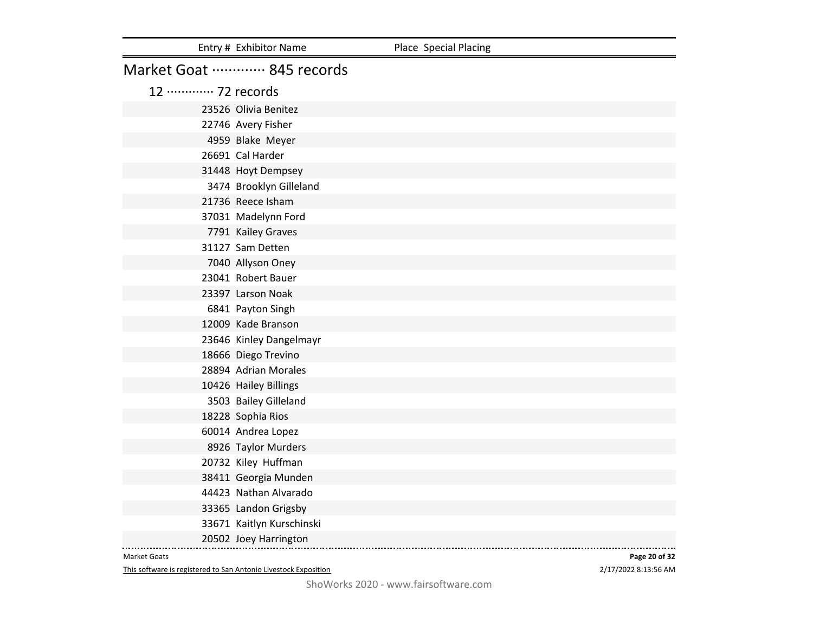|                    | Entry # Exhibitor Name    | Place Special Placing |
|--------------------|---------------------------|-----------------------|
|                    | Market Goat  845 records  |                       |
| 12 ………… 72 records |                           |                       |
|                    | 23526 Olivia Benitez      |                       |
|                    | 22746 Avery Fisher        |                       |
|                    | 4959 Blake Meyer          |                       |
|                    | 26691 Cal Harder          |                       |
|                    | 31448 Hoyt Dempsey        |                       |
|                    | 3474 Brooklyn Gilleland   |                       |
|                    | 21736 Reece Isham         |                       |
|                    | 37031 Madelynn Ford       |                       |
|                    | 7791 Kailey Graves        |                       |
|                    | 31127 Sam Detten          |                       |
|                    | 7040 Allyson Oney         |                       |
|                    | 23041 Robert Bauer        |                       |
|                    | 23397 Larson Noak         |                       |
|                    | 6841 Payton Singh         |                       |
|                    | 12009 Kade Branson        |                       |
|                    | 23646 Kinley Dangelmayr   |                       |
|                    | 18666 Diego Trevino       |                       |
|                    | 28894 Adrian Morales      |                       |
|                    | 10426 Hailey Billings     |                       |
|                    | 3503 Bailey Gilleland     |                       |
|                    | 18228 Sophia Rios         |                       |
|                    | 60014 Andrea Lopez        |                       |
|                    | 8926 Taylor Murders       |                       |
|                    | 20732 Kiley Huffman       |                       |
|                    | 38411 Georgia Munden      |                       |
|                    | 44423 Nathan Alvarado     |                       |
|                    | 33365 Landon Grigsby      |                       |
|                    | 33671 Kaitlyn Kurschinski |                       |
|                    | 20502 Joey Harrington     |                       |

This software is registered to San Antonio Livestock Exposition

2/17/2022 8:13:56 AM **Page 20 of 32**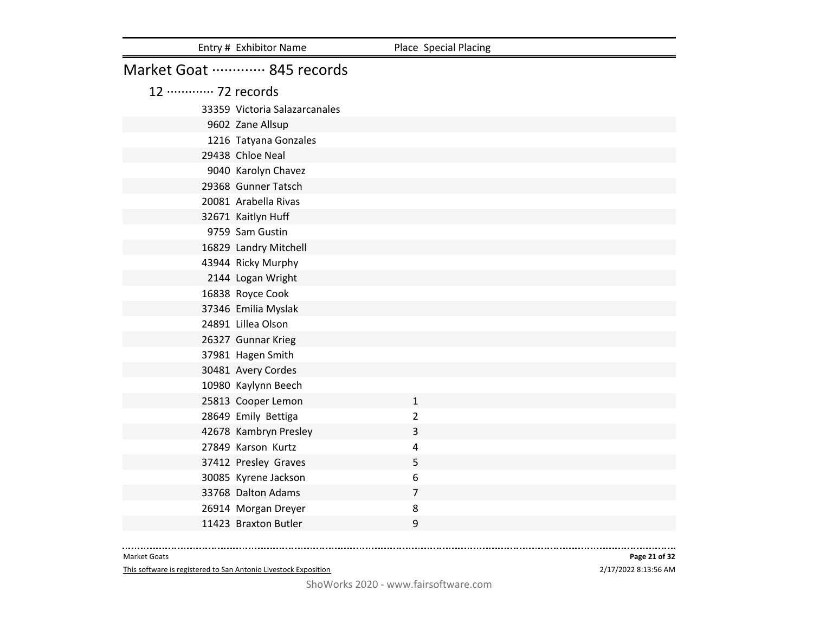|                    | Entry # Exhibitor Name        | Place Special Placing |
|--------------------|-------------------------------|-----------------------|
|                    | Market Goat  845 records      |                       |
| 12 ………… 72 records |                               |                       |
|                    | 33359 Victoria Salazarcanales |                       |
|                    | 9602 Zane Allsup              |                       |
|                    | 1216 Tatyana Gonzales         |                       |
|                    | 29438 Chloe Neal              |                       |
|                    | 9040 Karolyn Chavez           |                       |
|                    | 29368 Gunner Tatsch           |                       |
|                    | 20081 Arabella Rivas          |                       |
|                    | 32671 Kaitlyn Huff            |                       |
|                    | 9759 Sam Gustin               |                       |
|                    | 16829 Landry Mitchell         |                       |
|                    | 43944 Ricky Murphy            |                       |
|                    | 2144 Logan Wright             |                       |
|                    | 16838 Royce Cook              |                       |
|                    | 37346 Emilia Myslak           |                       |
|                    | 24891 Lillea Olson            |                       |
|                    | 26327 Gunnar Krieg            |                       |
|                    | 37981 Hagen Smith             |                       |
|                    | 30481 Avery Cordes            |                       |
|                    | 10980 Kaylynn Beech           |                       |
|                    | 25813 Cooper Lemon            | $\mathbf{1}$          |
|                    | 28649 Emily Bettiga           | $\overline{2}$        |
|                    | 42678 Kambryn Presley         | 3                     |
|                    | 27849 Karson Kurtz            | 4                     |
|                    | 37412 Presley Graves          | 5                     |
|                    | 30085 Kyrene Jackson          | 6                     |
|                    | 33768 Dalton Adams            | $\overline{7}$        |
|                    | 26914 Morgan Dreyer           | 8                     |
|                    | 11423 Braxton Butler          | 9                     |

This software is registered to San Antonio Livestock Exposition

2/17/2022 8:13:56 AM **Page 21 of 32**

. . . . . . .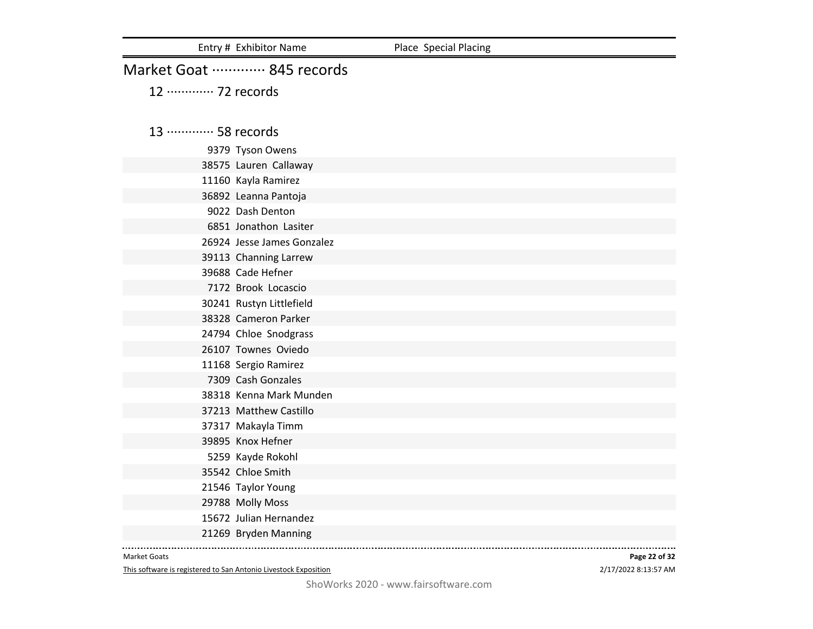Entry # Exhibitor Name Place Special Placing

# Market Goat ·············· 845 records

12 ············· 72 records

# 13 ············· 58 records

Tyson Owens

Lauren Callaway

Kayla Ramirez

Leanna Pantoja

Dash Denton

Jonathon Lasiter

Jesse James Gonzalez

Channing Larrew

Cade Hefner

Brook Locascio

Rustyn Littlefield

Cameron Parker

Chloe Snodgrass

Townes Oviedo

Sergio Ramirez

Cash Gonzales

Kenna Mark Munden

Matthew Castillo

Makayla Timm

Knox Hefner

Kayde Rokohl

Chloe Smith

Taylor Young

Molly Moss

Julian Hernandez

Bryden Manning

#### Market Goats

This software is registered to San Antonio Livestock Exposition

# 2/17/2022 8:13:57 AM **Page 22 of 32**

ShoWorks 2020 - www.fairsoftware.com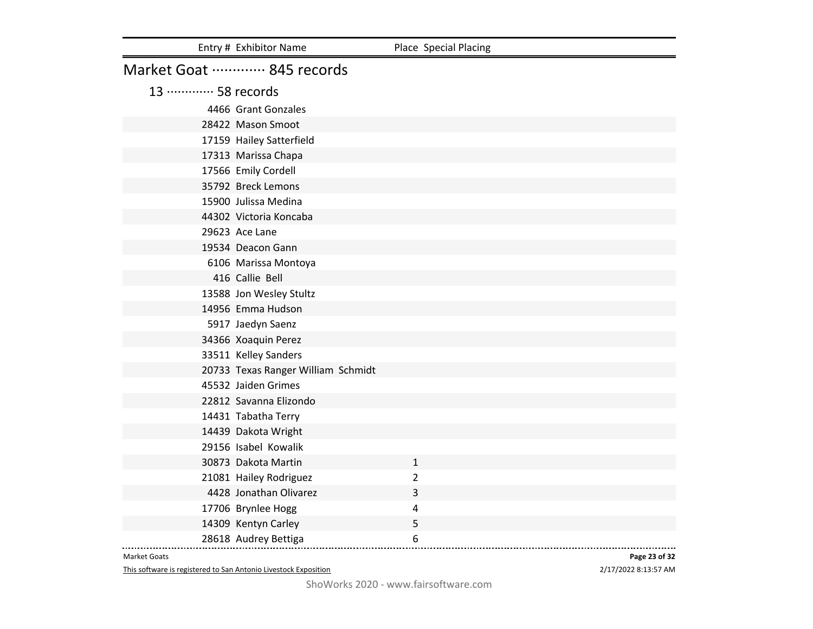|                             | Entry # Exhibitor Name             | Place Special Placing |
|-----------------------------|------------------------------------|-----------------------|
|                             | Market Goat  845 records           |                       |
| 13 ············· 58 records |                                    |                       |
|                             | 4466 Grant Gonzales                |                       |
|                             | 28422 Mason Smoot                  |                       |
|                             | 17159 Hailey Satterfield           |                       |
|                             | 17313 Marissa Chapa                |                       |
|                             | 17566 Emily Cordell                |                       |
|                             | 35792 Breck Lemons                 |                       |
|                             | 15900 Julissa Medina               |                       |
|                             | 44302 Victoria Koncaba             |                       |
|                             | 29623 Ace Lane                     |                       |
|                             | 19534 Deacon Gann                  |                       |
|                             | 6106 Marissa Montoya               |                       |
|                             | 416 Callie Bell                    |                       |
|                             | 13588 Jon Wesley Stultz            |                       |
|                             | 14956 Emma Hudson                  |                       |
|                             | 5917 Jaedyn Saenz                  |                       |
|                             | 34366 Xoaquin Perez                |                       |
|                             | 33511 Kelley Sanders               |                       |
|                             | 20733 Texas Ranger William Schmidt |                       |
|                             | 45532 Jaiden Grimes                |                       |
|                             | 22812 Savanna Elizondo             |                       |
|                             | 14431 Tabatha Terry                |                       |
|                             | 14439 Dakota Wright                |                       |
|                             | 29156 Isabel Kowalik               |                       |
|                             | 30873 Dakota Martin                | $\mathbf{1}$          |
|                             | 21081 Hailey Rodriguez             | $\overline{2}$        |
|                             | 4428 Jonathan Olivarez             | 3                     |
|                             | 17706 Brynlee Hogg                 | $\overline{4}$        |
|                             | 14309 Kentyn Carley                | 5                     |
|                             | 28618 Audrey Bettiga               | 6                     |

This software is registered to San Antonio Livestock Exposition

2/17/2022 8:13:57 AM **Page 23 of 32**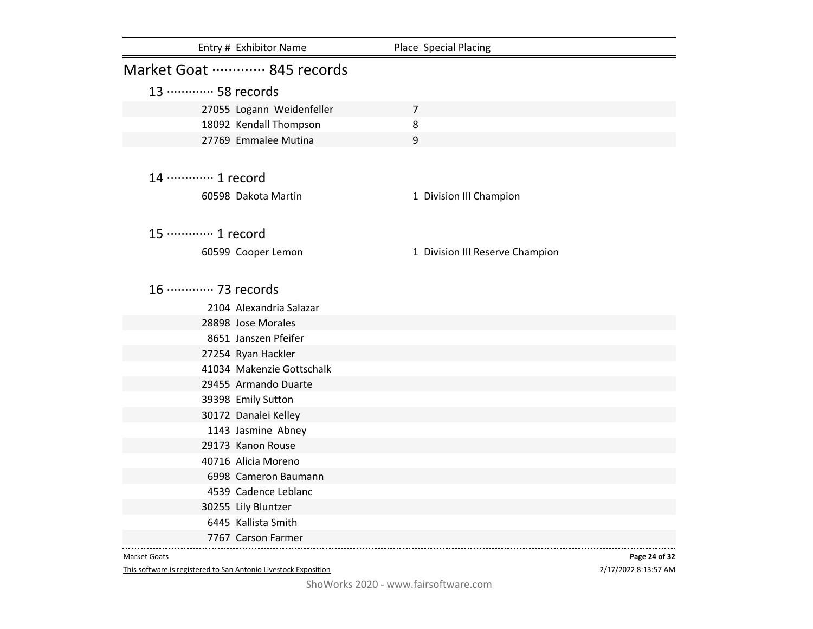|                             | Entry # Exhibitor Name    | Place Special Placing           |
|-----------------------------|---------------------------|---------------------------------|
|                             | Market Goat  845 records  |                                 |
| 13 ………… 58 records          |                           |                                 |
|                             | 27055 Logann Weidenfeller | $\overline{7}$                  |
|                             | 18092 Kendall Thompson    | 8                               |
|                             | 27769 Emmalee Mutina      | 9                               |
|                             |                           |                                 |
| 14 ………… 1 record            |                           |                                 |
|                             | 60598 Dakota Martin       | 1 Division III Champion         |
|                             |                           |                                 |
| 15 ············· 1 record   |                           |                                 |
|                             | 60599 Cooper Lemon        | 1 Division III Reserve Champion |
|                             |                           |                                 |
| 16 ············· 73 records |                           |                                 |
|                             | 2104 Alexandria Salazar   |                                 |
|                             | 28898 Jose Morales        |                                 |
|                             | 8651 Janszen Pfeifer      |                                 |
|                             | 27254 Ryan Hackler        |                                 |
|                             | 41034 Makenzie Gottschalk |                                 |
|                             | 29455 Armando Duarte      |                                 |
|                             | 39398 Emily Sutton        |                                 |
|                             | 30172 Danalei Kelley      |                                 |
|                             | 1143 Jasmine Abney        |                                 |
|                             | 29173 Kanon Rouse         |                                 |
|                             | 40716 Alicia Moreno       |                                 |
|                             | 6998 Cameron Baumann      |                                 |
|                             | 4539 Cadence Leblanc      |                                 |
|                             | 30255 Lily Bluntzer       |                                 |
|                             | 6445 Kallista Smith       |                                 |
|                             | 7767 Carson Farmer        |                                 |

This software is registered to San Antonio Livestock Exposition

2/17/2022 8:13:57 AM **Page 24 of 32**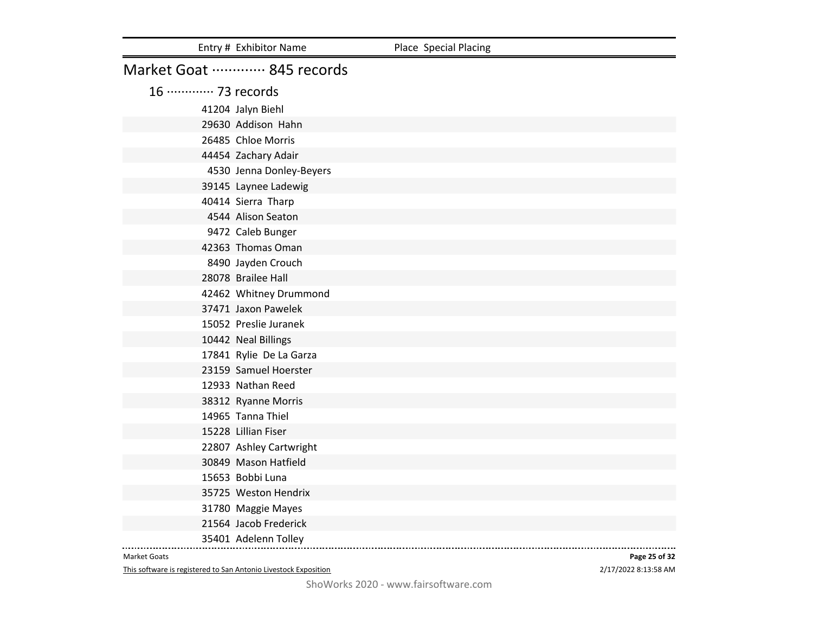|                             | Entry # Exhibitor Name   | Place Special Placing |
|-----------------------------|--------------------------|-----------------------|
|                             | Market Goat  845 records |                       |
| 16 ············· 73 records |                          |                       |
|                             | 41204 Jalyn Biehl        |                       |
|                             | 29630 Addison Hahn       |                       |
|                             | 26485 Chloe Morris       |                       |
|                             | 44454 Zachary Adair      |                       |
|                             | 4530 Jenna Donley-Beyers |                       |
|                             | 39145 Laynee Ladewig     |                       |
|                             | 40414 Sierra Tharp       |                       |
|                             | 4544 Alison Seaton       |                       |
|                             | 9472 Caleb Bunger        |                       |
|                             | 42363 Thomas Oman        |                       |
|                             | 8490 Jayden Crouch       |                       |
|                             | 28078 Brailee Hall       |                       |
|                             | 42462 Whitney Drummond   |                       |
|                             | 37471 Jaxon Pawelek      |                       |
|                             | 15052 Preslie Juranek    |                       |
|                             | 10442 Neal Billings      |                       |
|                             | 17841 Rylie De La Garza  |                       |
|                             | 23159 Samuel Hoerster    |                       |
|                             | 12933 Nathan Reed        |                       |
|                             | 38312 Ryanne Morris      |                       |
|                             | 14965 Tanna Thiel        |                       |
|                             | 15228 Lillian Fiser      |                       |
|                             | 22807 Ashley Cartwright  |                       |
|                             | 30849 Mason Hatfield     |                       |
|                             | 15653 Bobbi Luna         |                       |
|                             | 35725 Weston Hendrix     |                       |
|                             | 31780 Maggie Mayes       |                       |
|                             | 21564 Jacob Frederick    |                       |
|                             | 35401 Adelenn Tolley     |                       |

This software is registered to San Antonio Livestock Exposition

2/17/2022 8:13:58 AM **Page 25 of 32**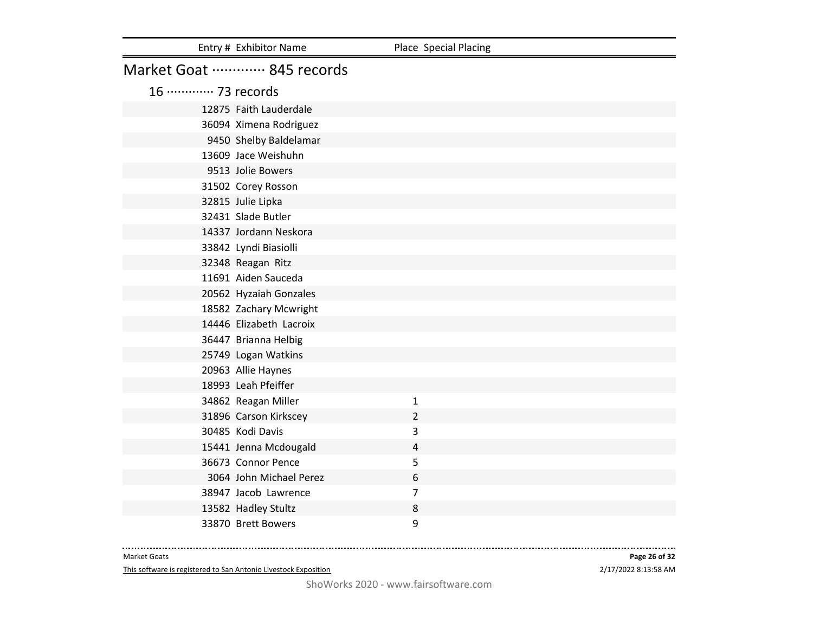|                             | Entry # Exhibitor Name   | Place Special Placing |
|-----------------------------|--------------------------|-----------------------|
|                             | Market Goat  845 records |                       |
| 16 ············· 73 records |                          |                       |
|                             | 12875 Faith Lauderdale   |                       |
|                             | 36094 Ximena Rodriguez   |                       |
|                             | 9450 Shelby Baldelamar   |                       |
|                             | 13609 Jace Weishuhn      |                       |
|                             | 9513 Jolie Bowers        |                       |
|                             | 31502 Corey Rosson       |                       |
|                             | 32815 Julie Lipka        |                       |
|                             | 32431 Slade Butler       |                       |
|                             | 14337 Jordann Neskora    |                       |
|                             | 33842 Lyndi Biasiolli    |                       |
|                             | 32348 Reagan Ritz        |                       |
|                             | 11691 Aiden Sauceda      |                       |
|                             | 20562 Hyzaiah Gonzales   |                       |
|                             | 18582 Zachary Mcwright   |                       |
|                             | 14446 Elizabeth Lacroix  |                       |
|                             | 36447 Brianna Helbig     |                       |
|                             | 25749 Logan Watkins      |                       |
|                             | 20963 Allie Haynes       |                       |
|                             | 18993 Leah Pfeiffer      |                       |
|                             | 34862 Reagan Miller      | $\mathbf{1}$          |
|                             | 31896 Carson Kirkscey    | $\overline{2}$        |
|                             | 30485 Kodi Davis         | 3                     |
|                             | 15441 Jenna Mcdougald    | $\overline{4}$        |
|                             | 36673 Connor Pence       | 5                     |
|                             | 3064 John Michael Perez  | 6                     |
|                             | 38947 Jacob Lawrence     | $\overline{7}$        |
|                             | 13582 Hadley Stultz      | 8                     |
|                             | 33870 Brett Bowers       | 9                     |

This software is registered to San Antonio Livestock Exposition

2/17/2022 8:13:58 AM **Page 26 of 32**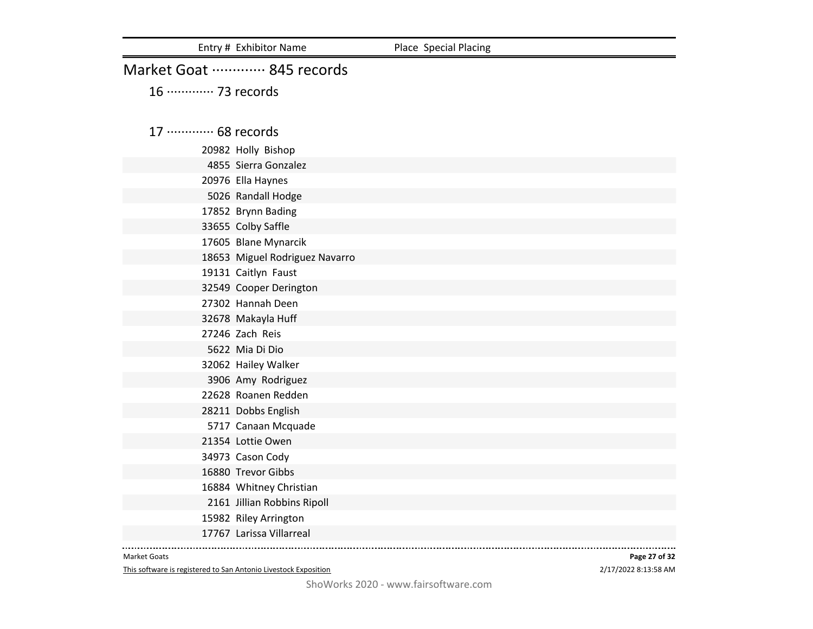|                             | Entry # Exhibitor Name         | Place Special Placing |
|-----------------------------|--------------------------------|-----------------------|
|                             | Market Goat  845 records       |                       |
| 16 ············· 73 records |                                |                       |
|                             |                                |                       |
| 17 ············· 68 records |                                |                       |
|                             | 20982 Holly Bishop             |                       |
|                             | 4855 Sierra Gonzalez           |                       |
|                             | 20976 Ella Haynes              |                       |
|                             | 5026 Randall Hodge             |                       |
|                             | 17852 Brynn Bading             |                       |
|                             | 33655 Colby Saffle             |                       |
|                             | 17605 Blane Mynarcik           |                       |
|                             | 18653 Miguel Rodriguez Navarro |                       |
|                             | 19131 Caitlyn Faust            |                       |
|                             | 32549 Cooper Derington         |                       |
|                             | 27302 Hannah Deen              |                       |
|                             | 32678 Makayla Huff             |                       |
|                             | 27246 Zach Reis                |                       |
|                             | 5622 Mia Di Dio                |                       |
|                             | 32062 Hailey Walker            |                       |
|                             | 3906 Amy Rodriguez             |                       |
|                             | 22628 Roanen Redden            |                       |
|                             | 28211 Dobbs English            |                       |
|                             | 5717 Canaan Mcquade            |                       |
|                             | 21354 Lottie Owen              |                       |
|                             | 34973 Cason Cody               |                       |
|                             | 16880 Trevor Gibbs             |                       |
|                             | 16884 Whitney Christian        |                       |
|                             | 2161 Jillian Robbins Ripoll    |                       |
|                             | 15982 Riley Arrington          |                       |
|                             | 17767 Larissa Villarreal       |                       |

This software is registered to San Antonio Livestock Exposition

2/17/2022 8:13:58 AM **Page 27 of 32**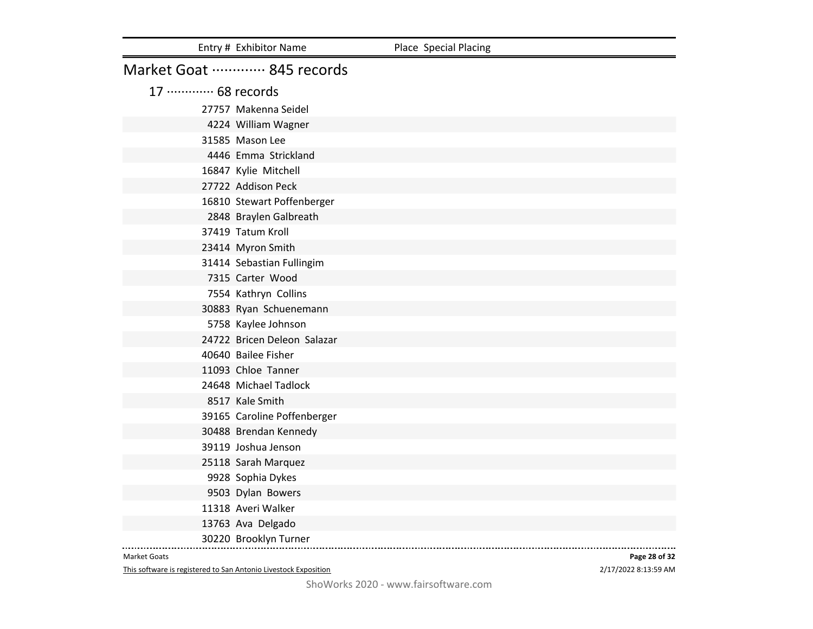|                             | Entry # Exhibitor Name      | Place Special Placing |
|-----------------------------|-----------------------------|-----------------------|
|                             | Market Goat  845 records    |                       |
| 17 ············· 68 records |                             |                       |
|                             | 27757 Makenna Seidel        |                       |
|                             | 4224 William Wagner         |                       |
|                             | 31585 Mason Lee             |                       |
|                             | 4446 Emma Strickland        |                       |
|                             | 16847 Kylie Mitchell        |                       |
|                             | 27722 Addison Peck          |                       |
|                             | 16810 Stewart Poffenberger  |                       |
|                             | 2848 Braylen Galbreath      |                       |
|                             | 37419 Tatum Kroll           |                       |
|                             | 23414 Myron Smith           |                       |
|                             | 31414 Sebastian Fullingim   |                       |
|                             | 7315 Carter Wood            |                       |
|                             | 7554 Kathryn Collins        |                       |
|                             | 30883 Ryan Schuenemann      |                       |
|                             | 5758 Kaylee Johnson         |                       |
|                             | 24722 Bricen Deleon Salazar |                       |
|                             | 40640 Bailee Fisher         |                       |
|                             | 11093 Chloe Tanner          |                       |
|                             | 24648 Michael Tadlock       |                       |
|                             | 8517 Kale Smith             |                       |
|                             | 39165 Caroline Poffenberger |                       |
|                             | 30488 Brendan Kennedy       |                       |
|                             | 39119 Joshua Jenson         |                       |
|                             | 25118 Sarah Marquez         |                       |
|                             | 9928 Sophia Dykes           |                       |
|                             | 9503 Dylan Bowers           |                       |
|                             | 11318 Averi Walker          |                       |
|                             | 13763 Ava Delgado           |                       |
|                             | 30220 Brooklyn Turner       |                       |

This software is registered to San Antonio Livestock Exposition

2/17/2022 8:13:59 AM **Page 28 of 32**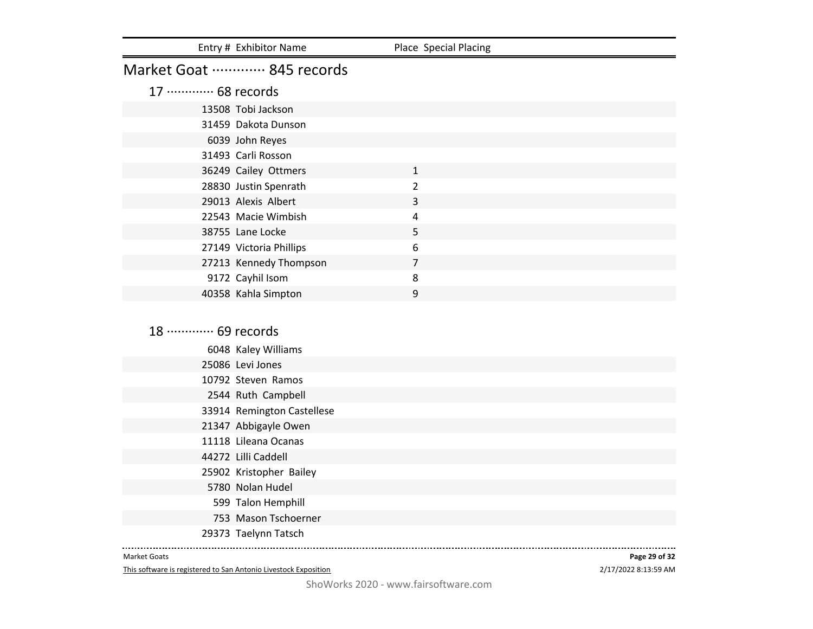| Entry # Exhibitor Name      | Place Special Placing |  |
|-----------------------------|-----------------------|--|
| Market Goat  845 records    |                       |  |
| 17 ············· 68 records |                       |  |
| 13508 Tobi Jackson          |                       |  |
| 31459 Dakota Dunson         |                       |  |
| 6039 John Reyes             |                       |  |
| 31493 Carli Rosson          |                       |  |
| 36249 Cailey Ottmers        | $\mathbf{1}$          |  |
| 28830 Justin Spenrath       | $\mathcal{P}$         |  |
| 29013 Alexis Albert         | 3                     |  |
| 22543 Macie Wimbish         | 4                     |  |
| 38755 Lane Locke            | 5                     |  |
| 27149 Victoria Phillips     | 6                     |  |
| 27213 Kennedy Thompson      | 7                     |  |
| 9172 Cayhil Isom            | 8                     |  |
| 40358 Kahla Simpton         | 9                     |  |

18 ············· 69 records Kaley Williams Levi Jones Steven Ramos Ruth Campbell Remington Castellese Abbigayle Owen Lileana Ocanas Lilli Caddell Kristopher Bailey Nolan Hudel Talon Hemphill Mason Tschoerner Taelynn Tatsch

#### Market Goats

This software is registered to San Antonio Livestock Exposition

2/17/2022 8:13:59 AM **Page 29 of 32**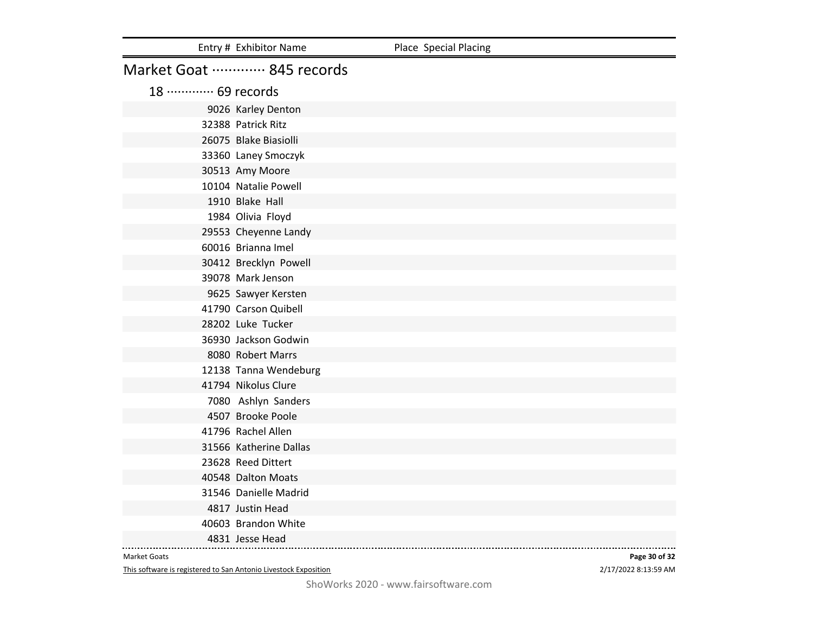|                             | Entry # Exhibitor Name   | Place Special Placing |
|-----------------------------|--------------------------|-----------------------|
|                             | Market Goat  845 records |                       |
| 18 ············· 69 records |                          |                       |
|                             | 9026 Karley Denton       |                       |
|                             | 32388 Patrick Ritz       |                       |
|                             | 26075 Blake Biasiolli    |                       |
|                             | 33360 Laney Smoczyk      |                       |
|                             | 30513 Amy Moore          |                       |
|                             | 10104 Natalie Powell     |                       |
|                             | 1910 Blake Hall          |                       |
|                             | 1984 Olivia Floyd        |                       |
|                             | 29553 Cheyenne Landy     |                       |
|                             | 60016 Brianna Imel       |                       |
|                             | 30412 Brecklyn Powell    |                       |
|                             | 39078 Mark Jenson        |                       |
|                             | 9625 Sawyer Kersten      |                       |
|                             | 41790 Carson Quibell     |                       |
|                             | 28202 Luke Tucker        |                       |
|                             | 36930 Jackson Godwin     |                       |
|                             | 8080 Robert Marrs        |                       |
|                             | 12138 Tanna Wendeburg    |                       |
|                             | 41794 Nikolus Clure      |                       |
|                             | 7080 Ashlyn Sanders      |                       |
|                             | 4507 Brooke Poole        |                       |
|                             | 41796 Rachel Allen       |                       |
|                             | 31566 Katherine Dallas   |                       |
|                             | 23628 Reed Dittert       |                       |
|                             | 40548 Dalton Moats       |                       |
|                             | 31546 Danielle Madrid    |                       |
|                             | 4817 Justin Head         |                       |
|                             | 40603 Brandon White      |                       |
|                             | 4831 Jesse Head          |                       |

This software is registered to San Antonio Livestock Exposition

2/17/2022 8:13:59 AM **Page 30 of 32**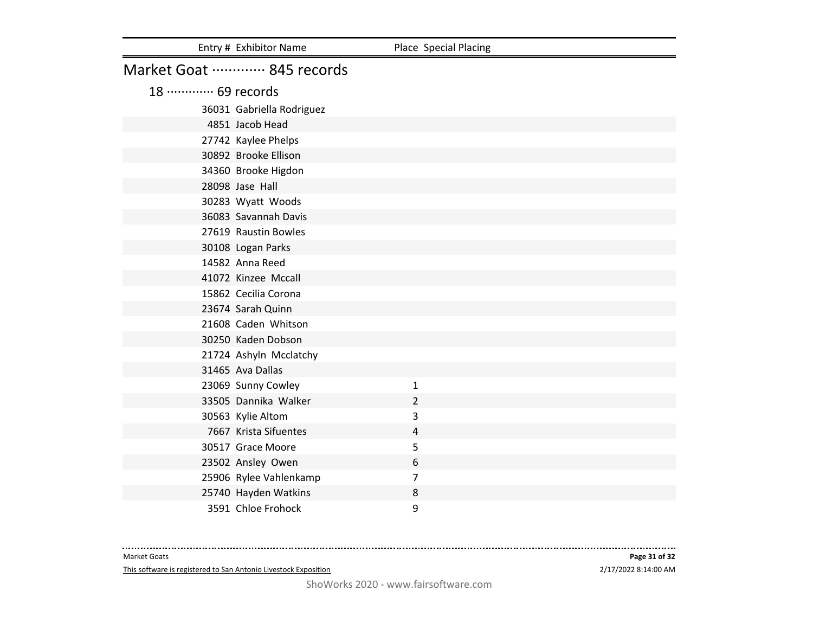|                             | Entry # Exhibitor Name    | Place Special Placing |  |
|-----------------------------|---------------------------|-----------------------|--|
| Market Goat  845 records    |                           |                       |  |
| 18 ············· 69 records |                           |                       |  |
|                             | 36031 Gabriella Rodriguez |                       |  |
|                             | 4851 Jacob Head           |                       |  |
|                             | 27742 Kaylee Phelps       |                       |  |
|                             | 30892 Brooke Ellison      |                       |  |
|                             | 34360 Brooke Higdon       |                       |  |
| 28098 Jase Hall             |                           |                       |  |
|                             | 30283 Wyatt Woods         |                       |  |
|                             | 36083 Savannah Davis      |                       |  |
|                             | 27619 Raustin Bowles      |                       |  |
|                             | 30108 Logan Parks         |                       |  |
|                             | 14582 Anna Reed           |                       |  |
|                             | 41072 Kinzee Mccall       |                       |  |
|                             | 15862 Cecilia Corona      |                       |  |
|                             | 23674 Sarah Quinn         |                       |  |
|                             | 21608 Caden Whitson       |                       |  |
|                             | 30250 Kaden Dobson        |                       |  |
|                             | 21724 Ashyln Mcclatchy    |                       |  |
| 31465 Ava Dallas            |                           |                       |  |
|                             | 23069 Sunny Cowley        | $\mathbf{1}$          |  |
|                             | 33505 Dannika Walker      | 2                     |  |
|                             | 30563 Kylie Altom         | 3                     |  |
|                             | 7667 Krista Sifuentes     | 4                     |  |
|                             | 30517 Grace Moore         | 5                     |  |
|                             | 23502 Ansley Owen         | 6                     |  |
|                             | 25906 Rylee Vahlenkamp    | $\overline{7}$        |  |
|                             | 25740 Hayden Watkins      | 8                     |  |
|                             | 3591 Chloe Frohock        | 9                     |  |

This software is registered to San Antonio Livestock Exposition

------------------------------------

. . . . . . .